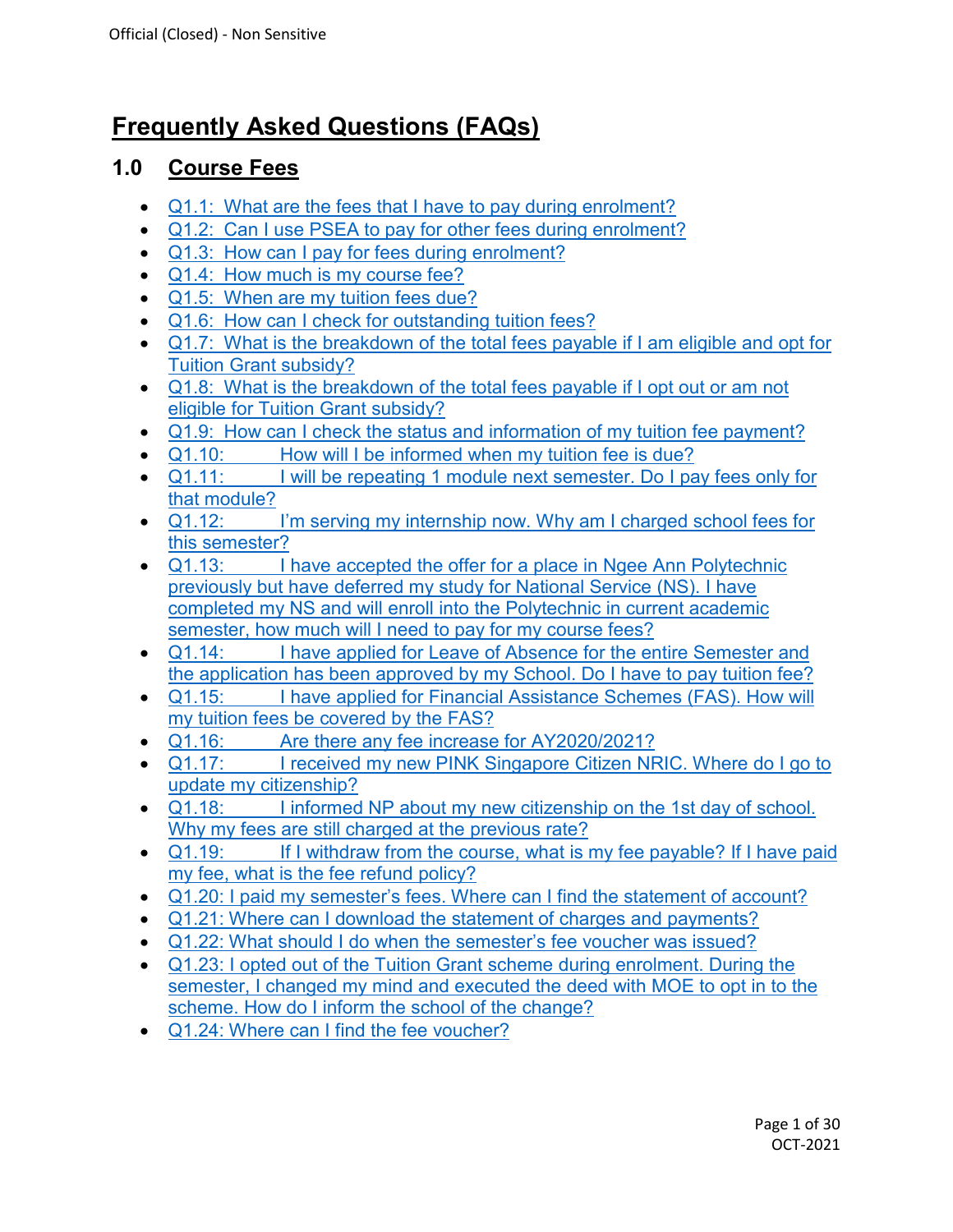# **Frequently Asked Questions (FAQs)**

## **1.0 Course Fees**

- Q1.1: [What are the fees that I have to pay during enrolment?](#page-6-0)
- Q1.2: [Can I use PSEA to pay for other fees during enrolment?](#page-6-1)
- Q1.3: [How can I pay for fees during enrolment?](#page-6-2)
- Q1.4: [How much is my course fee?](#page-7-0)
- Q1.5: [When are my tuition fees due?](#page-7-1)
- Q1.6: How [can I check for outstanding tuition fees?](#page-7-2)
- Q1.7: [What is the breakdown of the total fees payable if I am eligible and opt for](#page-7-3)  [Tuition Grant subsidy?](#page-7-3)
- Q1.8: [What is the breakdown of the total fees payable if I opt out or am not](#page-7-4)  [eligible for Tuition Grant subsidy?](#page-7-4)
- Q1.9: [How can I check the status and information of my tuition fee payment?](#page-8-0)
- Q1.10: [How will I be informed when my tuition fee is due?](#page-8-1)
- Q1.11: I will be repeating 1 module next semester. Do I pay fees only for [that module?](#page-8-2)
- Q1.12: [I'm serving my internship now. Why am I charged school fees for](#page-8-3)  [this semester?](#page-8-3)
- Q1.13: I have accepted the offer for a place in Ngee Ann Polytechnic [previously but have deferred my study for National Service \(NS\). I have](#page-8-4)  [completed my NS and will enroll into the Polytechnic in current academic](#page-8-4)  [semester, how much will I need to pay for my course fees?](#page-8-4)
- Q1.14: [I have applied for Leave of Absence for the entire Semester and](#page-9-0)  [the application has been approved by my School. Do I have to pay tuition fee?](#page-9-0)
- Q1.15: [I have applied for Financial Assistance Schemes \(FAS\). How will](#page-9-1)  [my tuition fees be covered by the FAS?](#page-9-1)
- **Q1.16:** [Are there any fee increase for AY2020/2021?](#page-9-2)<br>• Q1.17: I received my new PINK Singapore Citizen NF
- I received my new PINK Singapore Citizen NRIC. Where do I go to [update my citizenship?](#page-9-3)
- Q1.18: I informed NP about my new citizenship on the 1st day of school. [Why my fees are still charged at the previous rate?](#page-10-0)
- Q1.19: If I withdraw from the course, what is my fee payable? If I have paid my fee, [what is the fee refund policy?](#page-10-1)
- [Q1.20: I paid my semester's fees. Where can I find the statement of account?](#page-10-2)
- [Q1.21: Where can I download the statement of charges and payments?](#page-11-0)
- [Q1.22: What should I do when the semester's fee voucher was issued?](#page-11-1)
- [Q1.23: I opted out of the Tuition Grant scheme during enrolment. During the](#page-0-0)  [semester, I changed my mind and executed the deed with MOE to opt in to the](#page-0-0)  scheme. How [do I inform the school of the change?](#page-0-0)
- <span id="page-0-0"></span>• [Q1.24: Where can I find the fee voucher?](#page-11-2)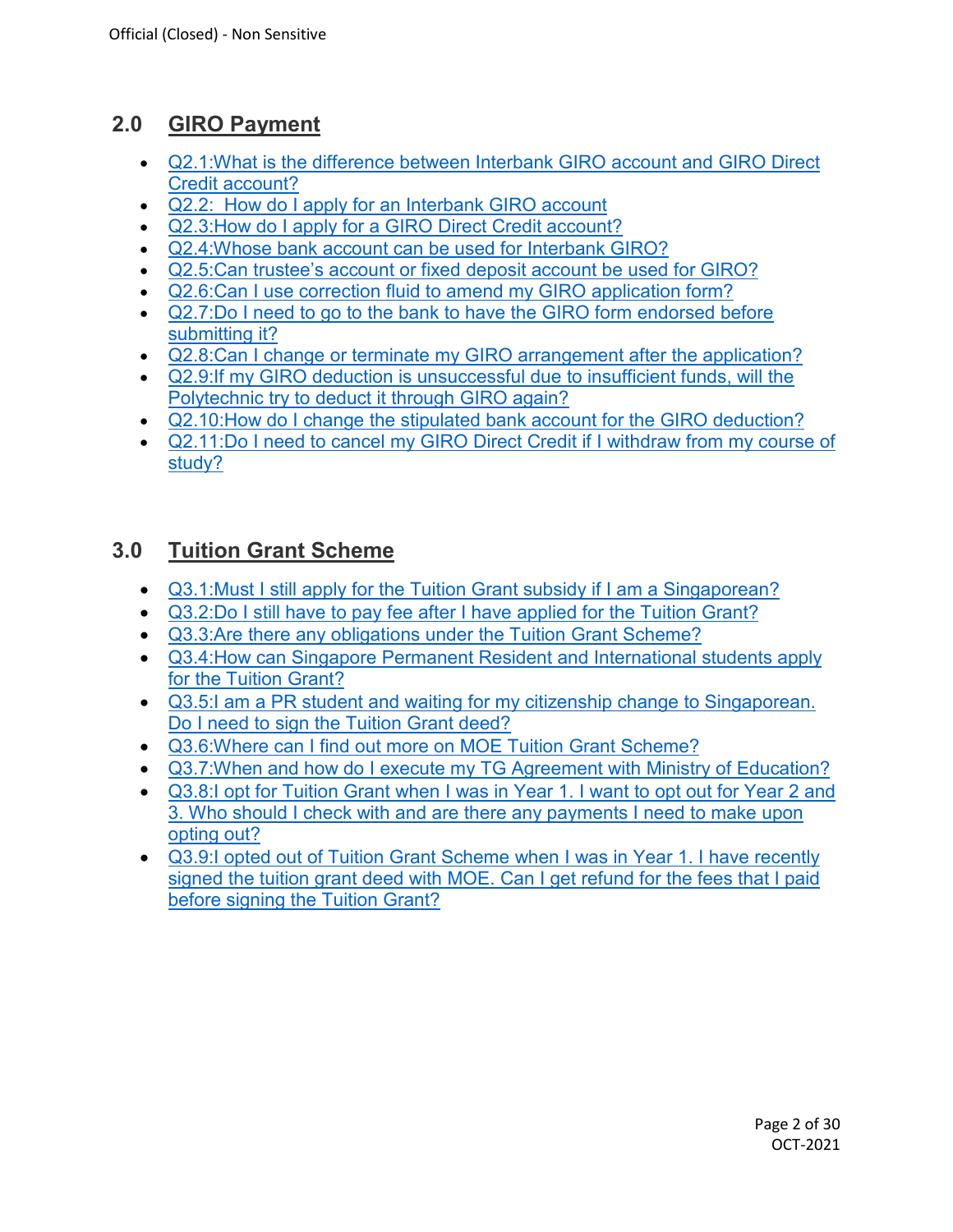# **2.0 GIRO Payment**

- [Q2.1:What is the difference between Interbank GIRO account and GIRO Direct](#page-12-0)  [Credit account?](#page-12-0)
- Q2.2: How do I apply for an Interbank GIRO account
- [Q2.3:How do I apply for a GIRO Direct Credit account?](#page-12-1)
- [Q2.4:Whose bank account can be used for Interbank GIRO?](#page-13-0)
- [Q2.5:Can trustee's account or fixed deposit account be used for GIRO?](#page-13-1)
- [Q2.6:Can I use correction fluid to amend my GIRO application form?](#page-13-2)
- Q2.7:Do I need to go to the bank to have the GIRO form endorsed before [submitting it?](#page-13-3)
- [Q2.8:Can I change or terminate my GIRO arrangement after the application?](#page-13-4)
- [Q2.9:If my GIRO deduction is unsuccessful due to insufficient funds, will the](#page-13-5)  [Polytechnic try to deduct it through GIRO again?](#page-13-5)
- [Q2.10:How do I change the stipulated bank account for the GIRO deduction?](#page-14-0)
- [Q2.11:Do I need to cancel my GIRO Direct Credit if I withdraw from my course of](#page-14-1)  [study?](#page-14-1)

# **3.0 Tuition Grant Scheme**

- [Q3.1:Must I still apply for the Tuition Grant subsidy if I am a Singaporean?](#page-14-2)
- [Q3.2:Do I still have to pay fee after I have applied for the Tuition Grant?](#page-14-3)
- [Q3.3:Are there any obligations under the Tuition Grant Scheme?](#page-14-4)
- [Q3.4:How can Singapore Permanent Resident and International students apply](#page-15-0)  [for the Tuition Grant?](#page-15-0)
- [Q3.5:I am a PR student and waiting for my citizenship change to Singaporean.](#page-15-1)  [Do I need to sign the Tuition Grant deed?](#page-15-1)
- [Q3.6:Where can I find out more on MOE Tuition Grant Scheme?](#page-15-2)
- [Q3.7:When and how do I execute my TG Agreement with Ministry of Education?](#page-15-3)
- [Q3.8:I opt for Tuition Grant when I was in Year 1. I want to opt out for Year 2 and](#page-16-0)  [3. Who should I check with and are there any payments I need to make upon](#page-16-0)  [opting out?](#page-16-0)
- [Q3.9:I opted out of Tuition Grant Scheme when I was in Year 1. I have recently](#page-16-1)  [signed the tuition grant deed with MOE. Can I get refund for the fees that I paid](#page-16-1)  [before signing the Tuition Grant?](#page-16-1)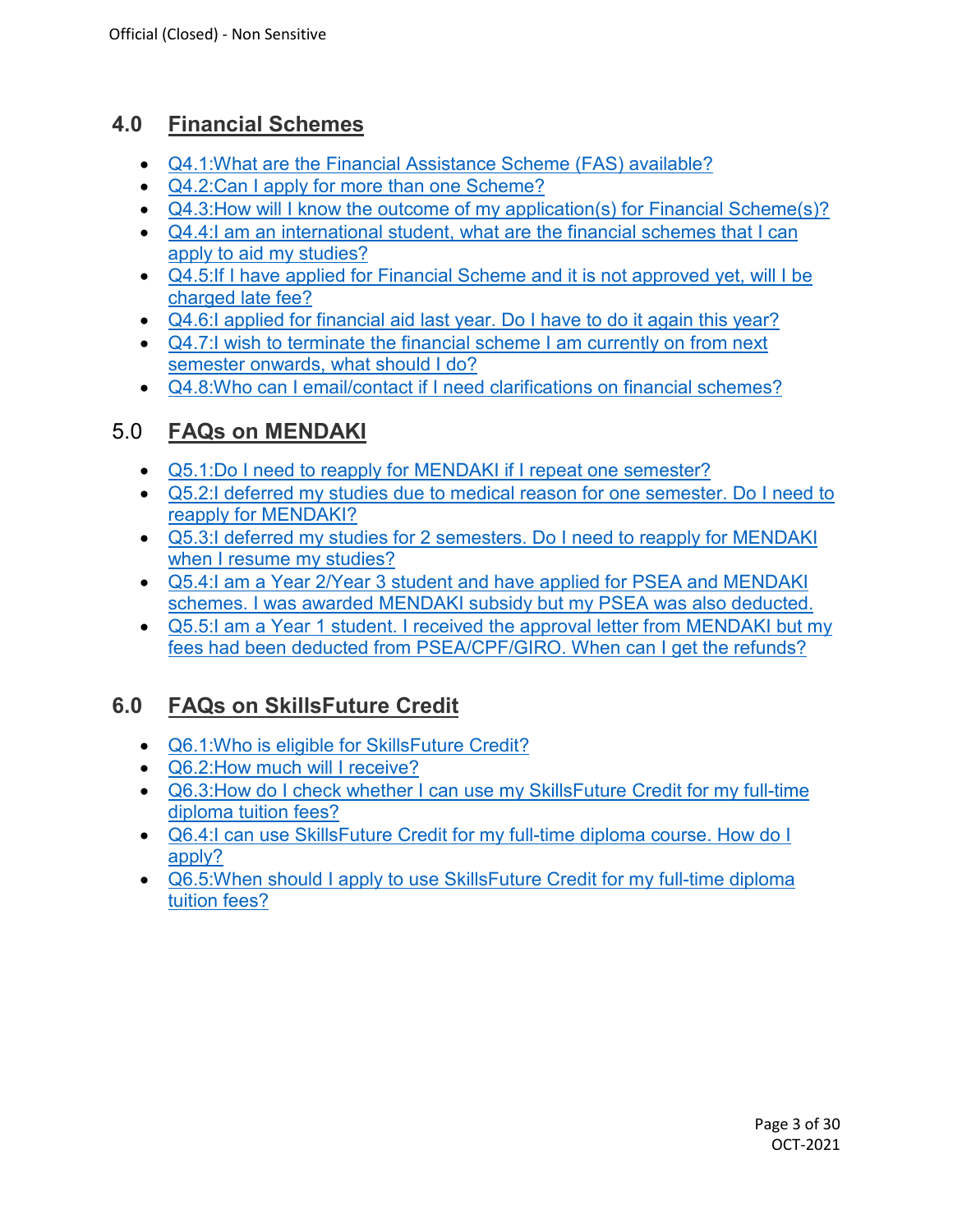# **4.0 Financial Schemes**

- [Q4.1:What are the Financial Assistance Scheme \(FAS\) available?](#page-16-2)
- Q4.2: Can I apply for more than one Scheme?
- Q4.3: How will I know the outcome of my application(s) for Financial Scheme(s)?
- Q4.4: I am an international student, what are the financial schemes that I can [apply to aid my studies?](#page-17-1)
- [Q4.5:If I have applied for Financial Scheme and it is not approved yet, will I be](#page-17-2)  [charged late fee?](#page-17-2)
- [Q4.6:I applied for financial aid last year. Do I have to do it again this year?](#page-17-3)
- Q4.7: I wish to terminate the financial scheme I am currently on from next [semester onwards, what should I do?](#page-17-4)
- [Q4.8:Who can I email/contact if I need clarifications on financial schemes?](#page-18-0)

# 5.0 **FAQs on MENDAKI**

- [Q5.1:Do I need to reapply for MENDAKI if I repeat one semester?](#page-18-1)
- [Q5.2:I deferred my studies due to medical reason for one semester. Do I need to](#page-18-2)  [reapply for MENDAKI?](#page-18-2)
- [Q5.3:I deferred my studies for 2 semesters.](#page-18-3) Do I need to reapply for MENDAKI [when I resume my studies?](#page-18-3)
- [Q5.4:I am a Year 2/Year 3 student and have applied for PSEA and MENDAKI](#page-19-0)  [schemes. I was awarded MENDAKI subsidy but my PSEA was also deducted.](#page-19-0)
- Q5.5: I am a Year 1 student. I received the approval letter from MENDAKI but my [fees had been deducted from PSEA/CPF/GIRO. When can I get the refunds?](#page-19-1)

# **6.0 FAQs on SkillsFuture Credit**

- [Q6.1:Who is eligible for SkillsFuture Credit?](#page-20-0)
- Q6.2: How much will I receive?
- [Q6.3:How do I check whether I can use my SkillsFuture Credit for my full-time](#page-20-2)  [diploma tuition fees?](#page-20-2)
- [Q6.4:I can use SkillsFuture Credit for my full-time diploma course. How do I](#page-20-3)  [apply?](#page-20-3)
- Q6.5: When should I apply to use Skills Future Credit for my full-time diploma [tuition fees?](#page-20-4)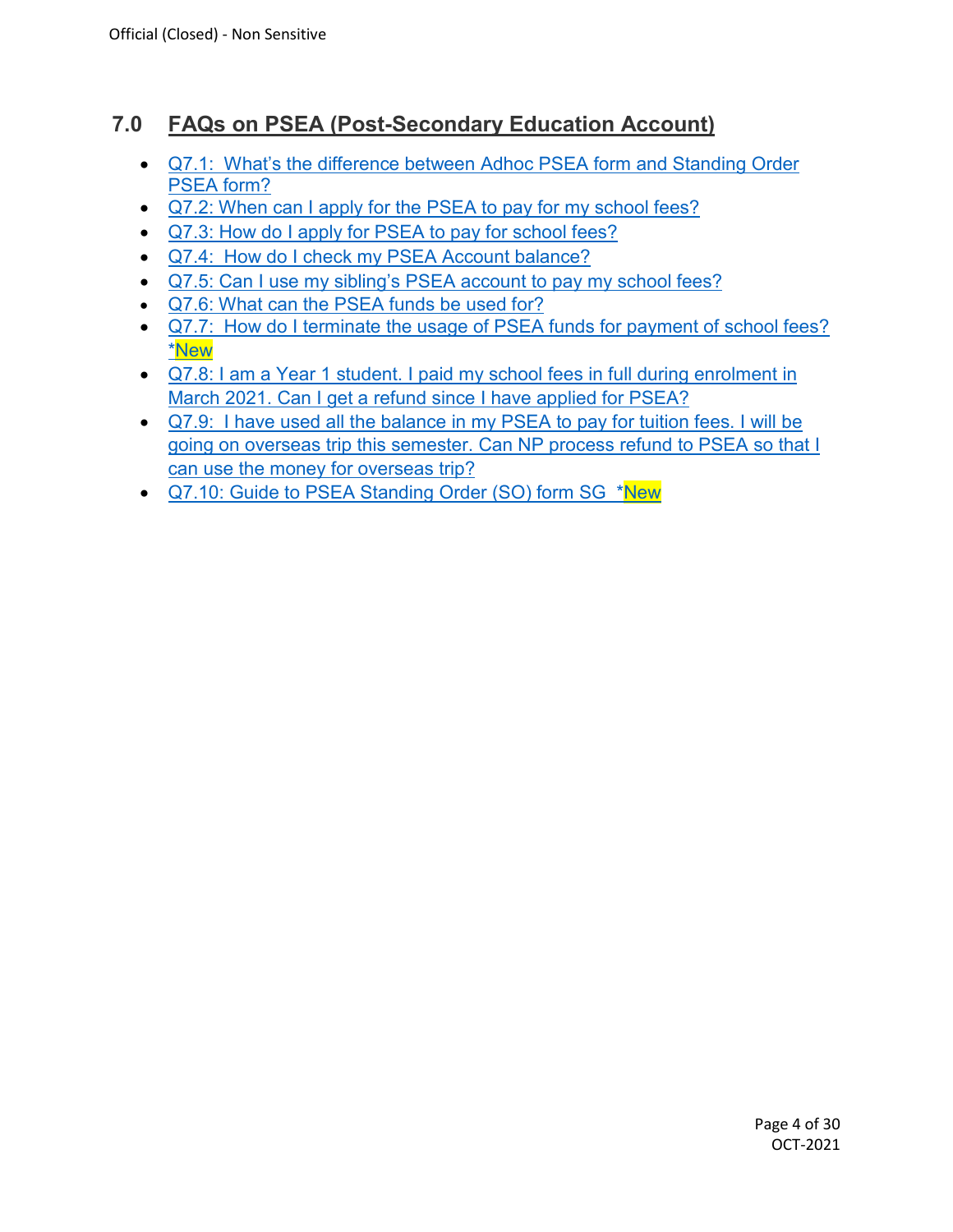# **7.0 FAQs on PSEA (Post-Secondary Education Account)**

- Q7.1: [What's the difference between Adhoc PSEA form and Standing Order](#page-21-0)  [PSEA form?](#page-21-0)
- Q7.2: When can I apply for the PSEA to pay for my school fees?
- Q7.3: How do I apply for PSEA to pay for school fees?
- Q7.4: [How do I check my PSEA Account balance?](#page-21-3)
- [Q7.5: Can I use my sibling's PSEA account to pay my school fees?](#page-21-4)
- [Q7.6: What can the PSEA funds be used for?](#page-22-0)
- Q7.7: [How do I terminate the usage of PSEA funds for payment of school fees?](#page-22-1) \*New
- [Q7.8: I am a Year 1 student. I paid my school fees in full during enrolment in](#page-22-2)  [March 2021. Can I get a refund since I have applied for PSEA?](#page-22-2)
- Q7.9: [I have used all the balance in my PSEA to pay for tuition fees. I will be](#page-3-0)  [going on overseas trip this semester. Can NP process refund to PSEA so that I](#page-3-0)  [can use the money for overseas trip?](#page-3-0)
- <span id="page-3-0"></span>• [Q7.10: Guide to PSEA Standing Order \(SO\) form SG](#page-22-3) \*New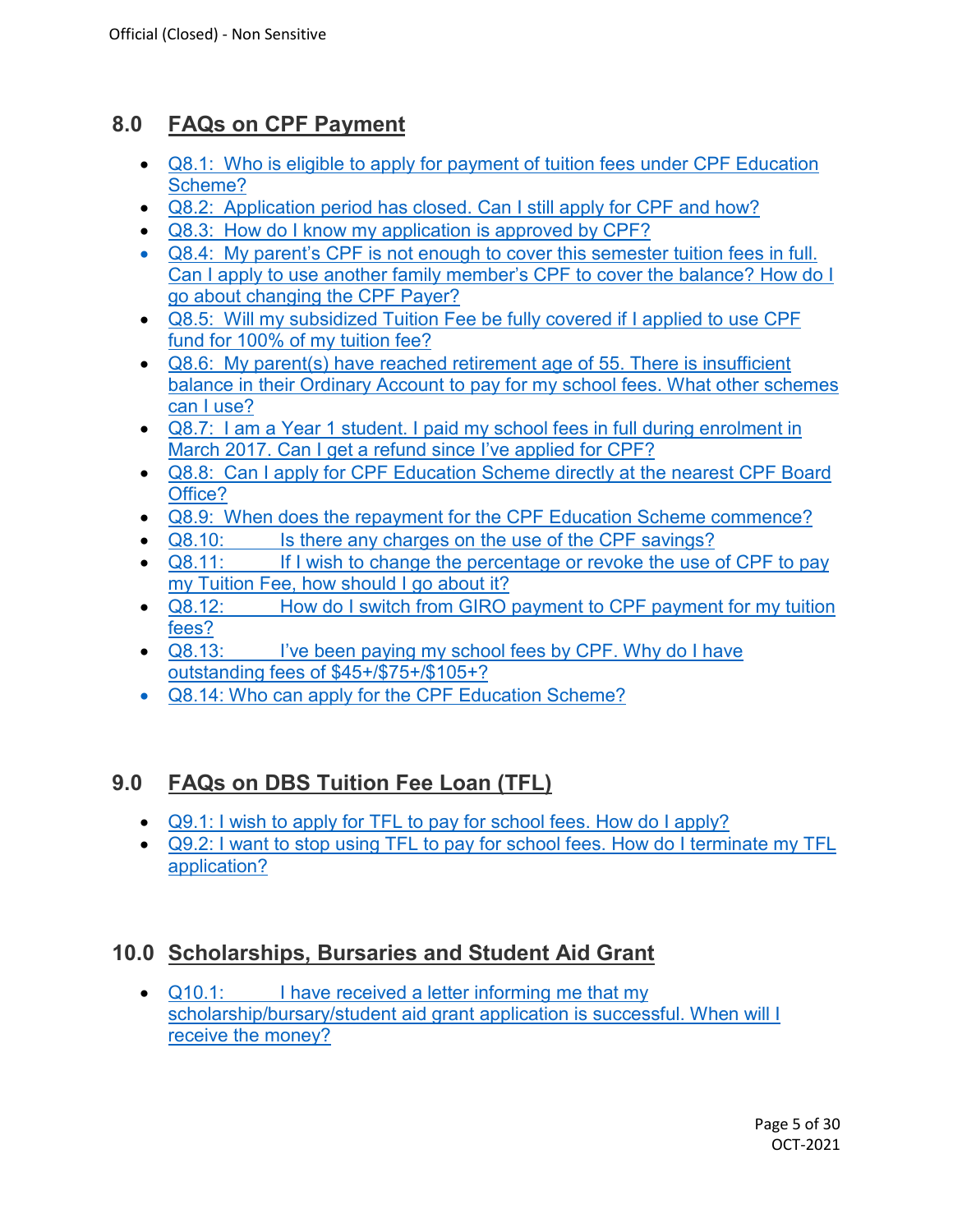# **8.0 FAQs on CPF Payment**

- Q8.1: [Who is eligible to apply for payment of tuition fees under CPF Education](#page-23-0)  [Scheme?](#page-23-0)
- Q8.2: Application period [has closed. Can I still apply for CPF and how?](#page-23-1)
- Q8.3: [How do I know my application is approved by CPF?](#page-23-2)
- Q8.4: [My parent's CPF is not enough to cover this semester tuition fees in full.](#page-23-3)  [Can I apply to use another family member's CPF to cover the balance?](#page-23-3) How do I [go about changing the CPF Payer?](#page-23-3)
- Q8.5: [Will my subsidized Tuition Fee be fully covered if I applied to use CPF](#page-24-0)  [fund for 100% of my tuition fee?](#page-24-0)
- Q8.6: [My parent\(s\) have reached retirement age of 55. There is insufficient](#page-24-1)  [balance in their Ordinary Account to pay for my school fees. What other schemes](#page-24-1)  [can I use?](#page-24-1)
- Q8.7: [I am a Year 1 student. I paid my school fees in full during](#page-24-2) enrolment in [March 2017. Can I get a refund since I've applied for CPF?](#page-24-2)
- Q8.8: [Can I apply for CPF Education Scheme directly at the nearest CPF Board](#page-24-3)  [Office?](#page-24-3)
- Q8.9: [When does the repayment for the CPF Education Scheme commence?](#page-24-4)
- Q8.10: [Is there any charges on the use of the CPF savings?](#page-24-5)
- Q8.11: If I wish to change the percentage or revoke the use of CPF to pay [my Tuition Fee, how should I go about it?](#page-25-0)
- Q8.12: How do I switch from GIRO payment to CPF payment for my tuition [fees?](#page-25-1)
- Q8.13: I've been paying my school fees by CPF. Why do I have [outstanding fees of \\$45+/\\$75+/\\$105+?](#page-25-2)
- [Q8.14: Who can apply for the CPF Education Scheme?](#page-25-3)

# **9.0 FAQs on DBS Tuition Fee Loan (TFL)**

- [Q9.1: I wish to apply for TFL to pay for school fees. How do I apply?](#page-26-0)
- [Q9.2: I want to stop using TFL to pay for school fees. How do I terminate my TFL](#page-26-1)  [application?](#page-26-1)

# **10.0 Scholarships, Bursaries and Student Aid Grant**

• Q10.1: [I have received a letter informing me that my](#page-27-0)  [scholarship/bursary/student aid grant application is successful. When will I](#page-27-0)  [receive the money?](#page-27-0)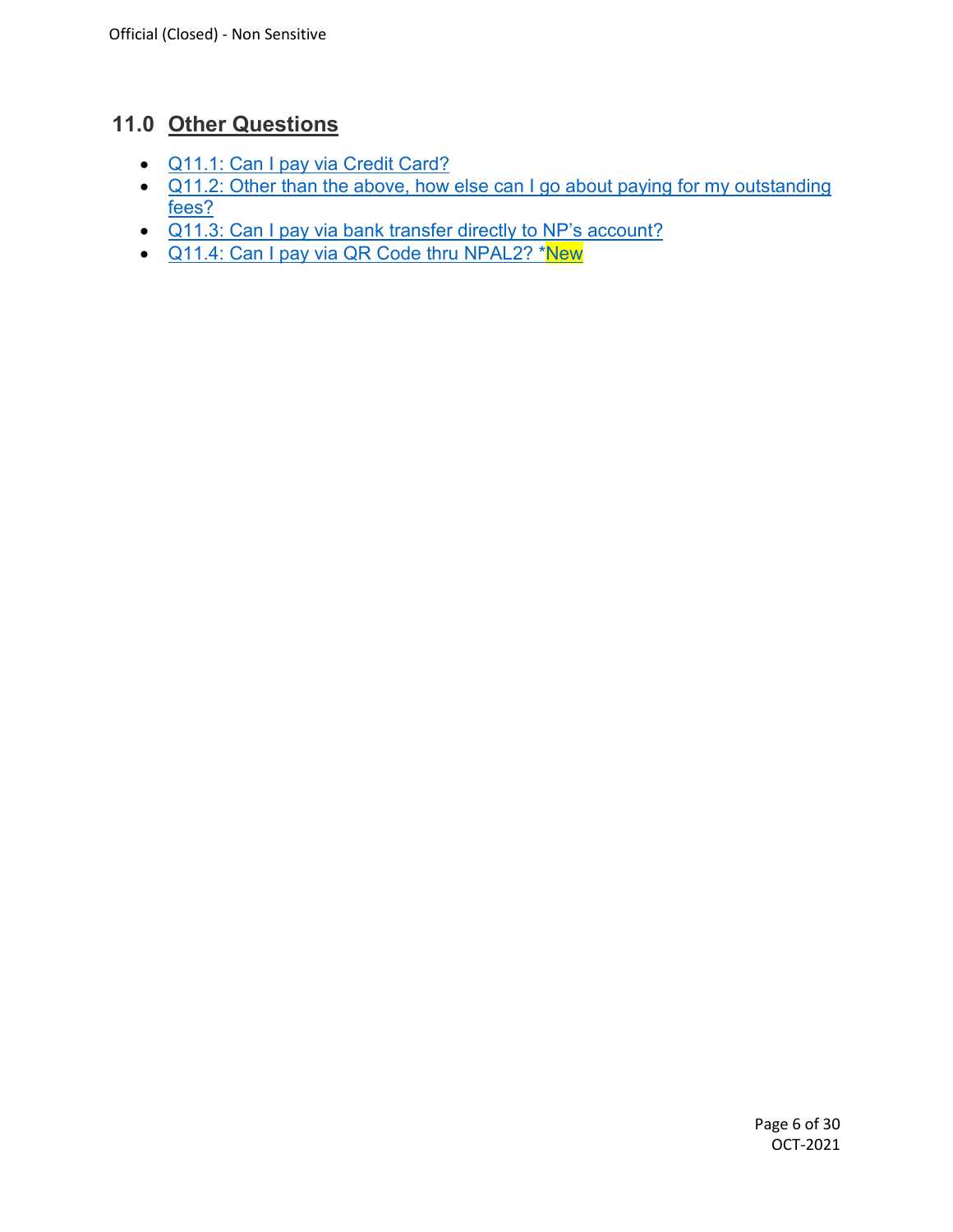# **11.0 Other Questions**

- Q11.1: [Can I pay via Credit Card?](#page-27-1)
- Q11.2: Other than the above, how else can I go about paying for my outstanding [fees?](#page-27-2)
- [Q11.3: Can I pay via bank transfer directly to NP's account?](#page-29-0)
- [Q11.4: Can I pay via QR Code thru NPAL2? \\*New](#page-29-1)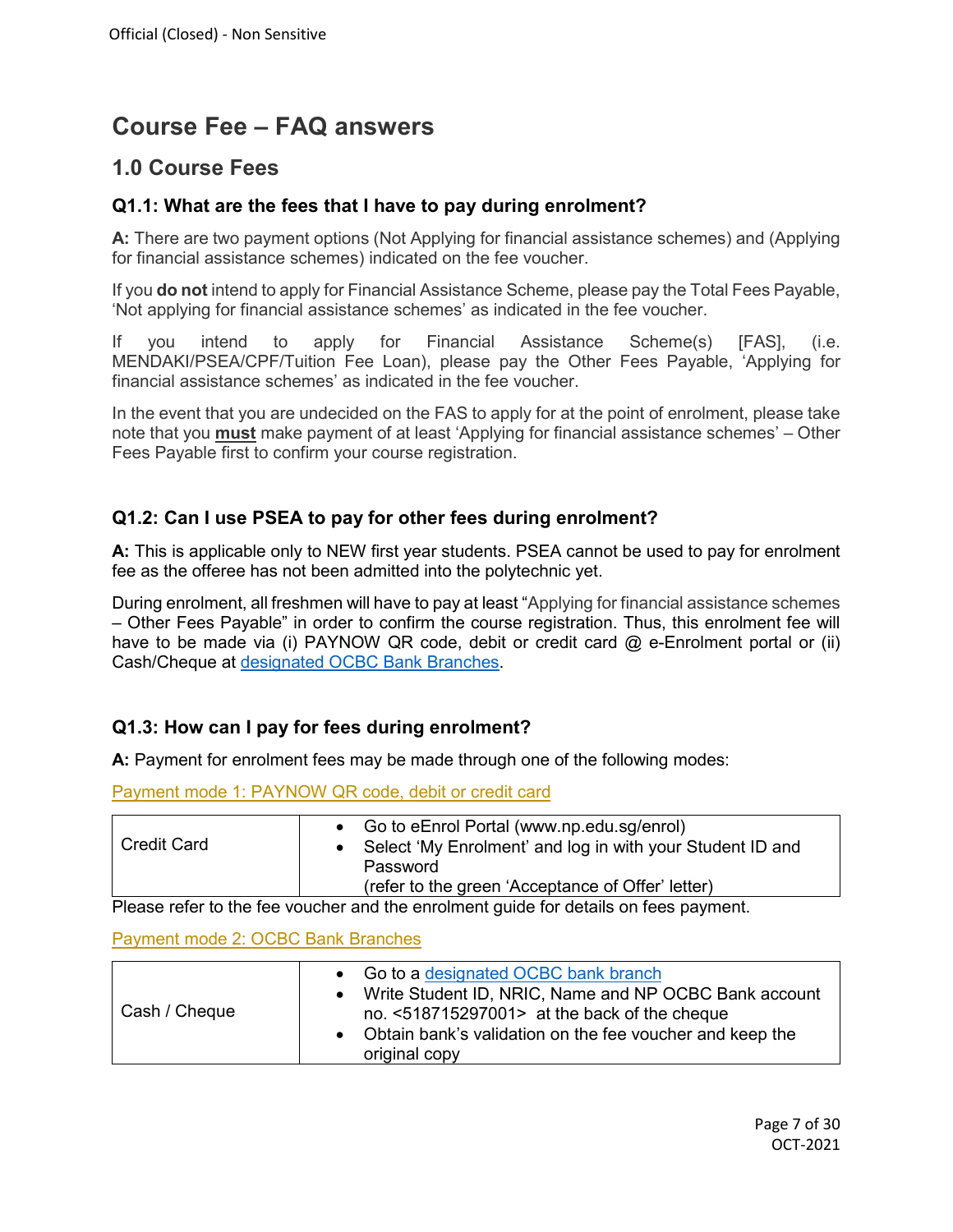# **Course Fee – FAQ answers**

## **1.0 Course Fees**

#### <span id="page-6-0"></span>**Q1.1: What are the fees that I have to pay during enrolment?**

**A:** There are two payment options (Not Applying for financial assistance schemes) and (Applying for financial assistance schemes) indicated on the fee voucher.

If you **do not** intend to apply for Financial Assistance Scheme, please pay the Total Fees Payable, 'Not applying for financial assistance schemes' as indicated in the fee voucher.

If you intend to apply for Financial Assistance Scheme(s) [FAS], (i.e. MENDAKI/PSEA/CPF/Tuition Fee Loan), please pay the Other Fees Payable, 'Applying for financial assistance schemes' as indicated in the fee voucher.

In the event that you are undecided on the FAS to apply for at the point of enrolment, please take note that you **must** make payment of at least 'Applying for financial assistance schemes' – Other Fees Payable first to confirm your course registration.

### <span id="page-6-1"></span>**Q1.2: Can I use PSEA to pay for other fees during enrolment?**

**A:** This is applicable only to NEW first year students. PSEA cannot be used to pay for enrolment fee as the offeree has not been admitted into the polytechnic yet.

<span id="page-6-2"></span>During enrolment, all freshmen will have to pay at least "Applying for financial assistance schemes – Other Fees Payable" in order to confirm the course registration. Thus, this enrolment fee will have to be made via (i) PAYNOW QR code, debit or credit card @ e-Enrolment portal or (ii) Cash/Cheque at [designated OCBC Bank Branches.](#page-29-1)

#### **Q1.3: How can I pay for fees during enrolment?**

**A:** Payment for enrolment fees may be made through one of the following modes:

| • Go to eEnrol Portal (www.np.edu.sg/enrol)<br><b>Credit Card</b><br>• Select 'My Enrolment' and log in with your Student ID and<br>Password<br>(refer to the green 'Acceptance of Offer' letter) |  |
|---------------------------------------------------------------------------------------------------------------------------------------------------------------------------------------------------|--|

Payment mode 1: PAYNOW QR code, debit or credit card

Please refer to the fee voucher and the enrolment guide for details on fees payment.

#### Payment mode 2: OCBC Bank Branches

|               | • Go to a designated OCBC bank branch<br>• Write Student ID, NRIC, Name and NP OCBC Bank account             |
|---------------|--------------------------------------------------------------------------------------------------------------|
| Cash / Cheque | no. $<518715297001>$ at the back of the cheque<br>• Obtain bank's validation on the fee voucher and keep the |
|               | original copy                                                                                                |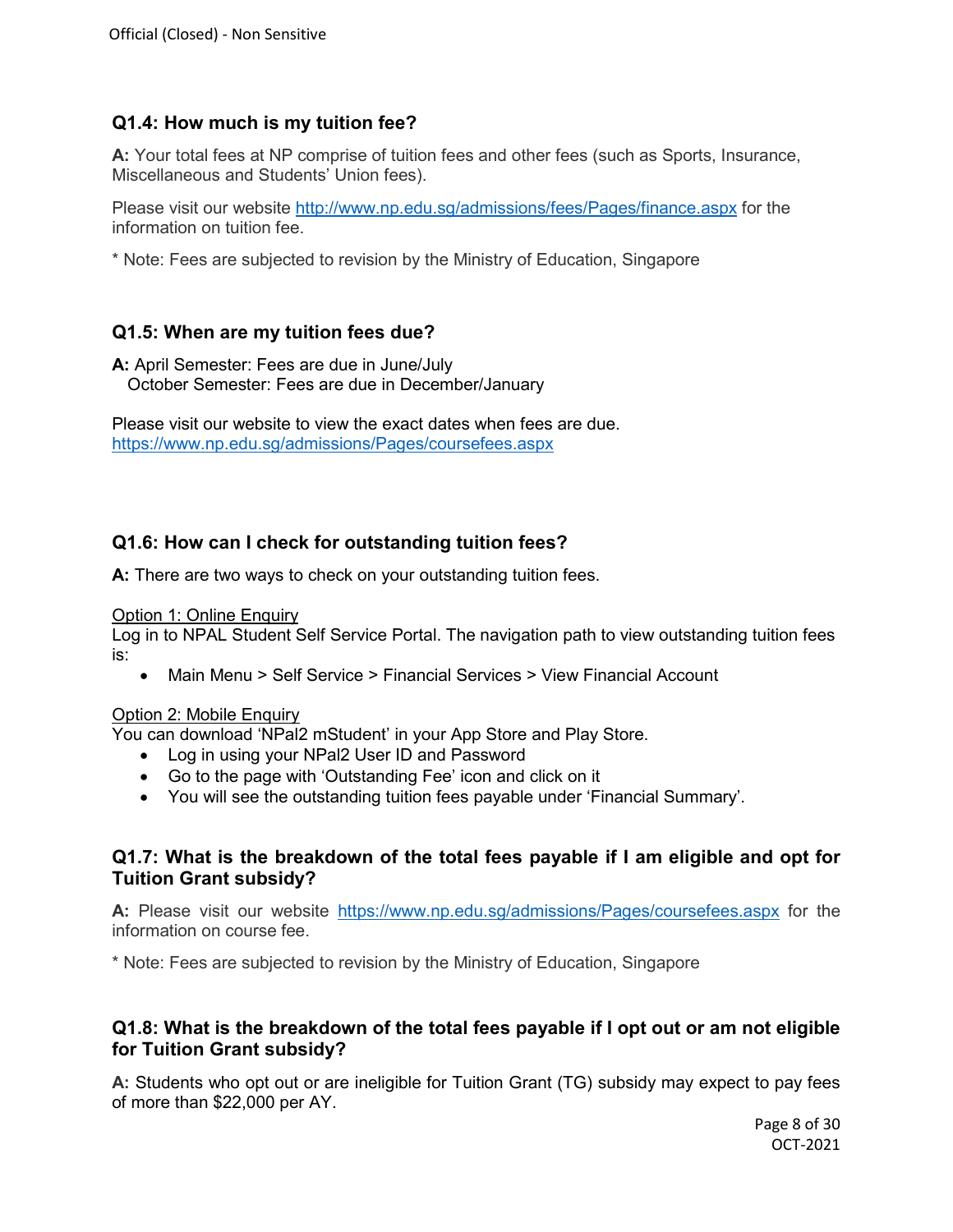## <span id="page-7-0"></span>**Q1.4: How much is my tuition fee?**

**A:** Your total fees at NP comprise of tuition fees and other fees (such as Sports, Insurance, Miscellaneous and Students' Union fees).

Please visit our website<http://www.np.edu.sg/admissions/fees/Pages/finance.aspx> for the information on tuition fee.

\* Note: Fees are subjected to revision by the Ministry of Education, Singapore

## <span id="page-7-1"></span>**Q1.5: When are my tuition fees due?**

**A:** April Semester: Fees are due in June/July October Semester: Fees are due in December/January

Please visit our website to view the exact dates when fees are due. <https://www.np.edu.sg/admissions/Pages/coursefees.aspx>

## <span id="page-7-2"></span>**Q1.6: How can I check for outstanding tuition fees?**

**A:** There are two ways to check on your outstanding tuition fees.

### Option 1: Online Enquiry

Log in to NPAL Student Self Service Portal. The navigation path to view outstanding tuition fees is:

• Main Menu > Self Service > Financial Services > View Financial Account

#### Option 2: Mobile Enquiry

You can download 'NPal2 mStudent' in your App Store and Play Store.

- Log in using your NPal2 User ID and Password
- Go to the page with 'Outstanding Fee' icon and click on it
- You will see the outstanding tuition fees payable under 'Financial Summary'.

## <span id="page-7-3"></span>**Q1.7: What is the breakdown of the total fees payable if I am eligible and opt for Tuition Grant subsidy?**

**A:** Please visit our website <https://www.np.edu.sg/admissions/Pages/coursefees.aspx> for the information on course fee.

\* Note: Fees are subjected to revision by the Ministry of Education, Singapore

## <span id="page-7-4"></span>**Q1.8: What is the breakdown of the total fees payable if I opt out or am not eligible for Tuition Grant subsidy?**

**A:** Students who opt out or are ineligible for Tuition Grant (TG) subsidy may expect to pay fees of more than \$22,000 per AY.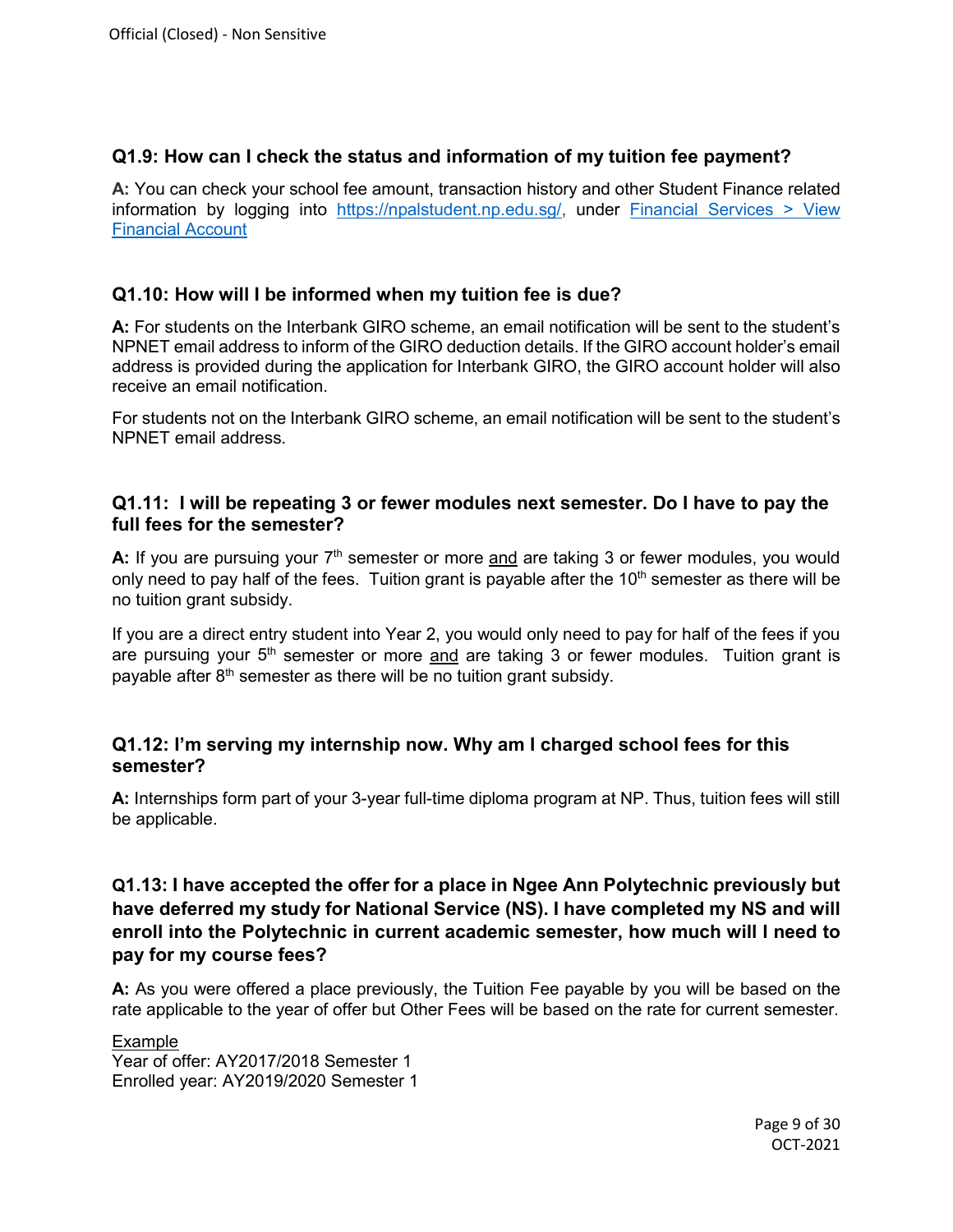#### <span id="page-8-0"></span>**Q1.9: How can I check the status and information of my tuition fee payment?**

**A:** You can check your school fee amount, transaction history and other Student Finance related information by logging into [https://npalstudent.np.edu.sg/,](https://npalstudent.np.edu.sg/) under [Financial Services](https://npalstudent.np.edu.sg/psp/cs90prd/EMPLOYEE/HRMS/s/WEBLIB_PT_NAV.ISCRIPT1.FieldFormula.IScript_PT_NAV_INFRAME?pt_fname=N_SS_FINANCIAL_SERVICES&c=wxQ8Q32K6P5xvx4%2bkpyQchZssYMrbOMR&FolderPath=PORTAL_ROOT_OBJECT.CO_EMPLOYEE_SELF_SERVICE.N_SS_FINANCIAL_SERVICES&IsFolder=true) > [View](https://npalstudent.np.edu.sg/psp/cs90prd/EMPLOYEE/HRMS/c/N_SELF_SERVICE.N_SF_VW_FIN_ACCT.GBL?FolderPath=PORTAL_ROOT_OBJECT.CO_EMPLOYEE_SELF_SERVICE.N_SS_FINANCIAL_SERVICES.N_SF_VW_FIN_ACCT_GBL&IsFolder=false&IgnoreParamTempl=FolderPath%2cIsFolder)  [Financial Account](https://npalstudent.np.edu.sg/psp/cs90prd/EMPLOYEE/HRMS/c/N_SELF_SERVICE.N_SF_VW_FIN_ACCT.GBL?FolderPath=PORTAL_ROOT_OBJECT.CO_EMPLOYEE_SELF_SERVICE.N_SS_FINANCIAL_SERVICES.N_SF_VW_FIN_ACCT_GBL&IsFolder=false&IgnoreParamTempl=FolderPath%2cIsFolder)

#### <span id="page-8-1"></span>**Q1.10: How will I be informed when my tuition fee is due?**

**A:** For students on the Interbank GIRO scheme, an email notification will be sent to the student's NPNET email address to inform of the GIRO deduction details. If the GIRO account holder's email address is provided during the application for Interbank GIRO, the GIRO account holder will also receive an email notification.

For students not on the Interbank GIRO scheme, an email notification will be sent to the student's NPNET email address.

#### <span id="page-8-2"></span>**Q1.11: [I will be repeating 3 or fewer modules next semester.](http://www.rp.edu.sg/Fees/05_FAQ.aspx#q1_11) Do I have to pay the [full fees for the semester?](http://www.rp.edu.sg/Fees/05_FAQ.aspx#q1_11)**

A: If you are pursuing your 7<sup>th</sup> semester or more and are taking 3 or fewer modules, you would only need to pay half of the fees. Tuition grant is payable after the  $10<sup>th</sup>$  semester as there will be no tuition grant subsidy.

If you are a direct entry student into Year 2, you would only need to pay for half of the fees if you are pursuing your  $5<sup>th</sup>$  semester or more and are taking 3 or fewer modules. Tuition grant is payable after  $8<sup>th</sup>$  semester as there will be no tuition grant subsidy.

#### <span id="page-8-3"></span>**Q1.12: I'm serving my internship now. Why am I charged school fees for this semester?**

**A:** Internships form part of your 3-year full-time diploma program at NP. Thus, tuition fees will still be applicable.

### <span id="page-8-4"></span>**Q1.13: I have accepted the offer for a place in Ngee Ann Polytechnic previously but have deferred my study for National Service (NS). I have completed my NS and will enroll into the Polytechnic in current academic semester, how much will I need to pay for my course fees?**

**A:** As you were offered a place previously, the Tuition Fee payable by you will be based on the rate applicable to the year of offer but Other Fees will be based on the rate for current semester.

Example Year of offer: AY2017/2018 Semester 1 Enrolled year: AY2019/2020 Semester 1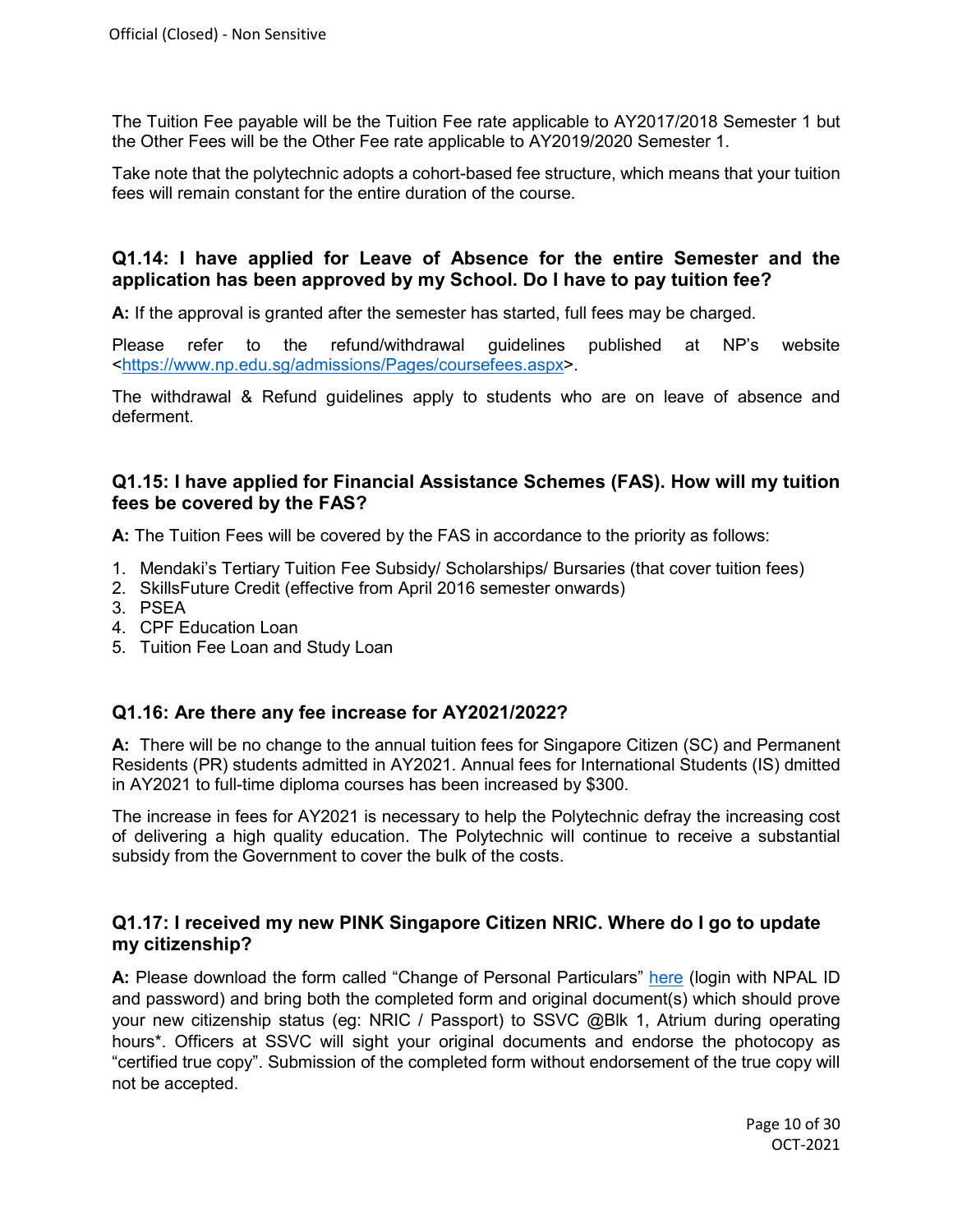The Tuition Fee payable will be the Tuition Fee rate applicable to AY2017/2018 Semester 1 but the Other Fees will be the Other Fee rate applicable to AY2019/2020 Semester 1.

Take note that the polytechnic adopts a cohort-based fee structure, which means that your tuition fees will remain constant for the entire duration of the course.

#### <span id="page-9-0"></span>**Q1.14: I have applied for Leave of Absence for the entire Semester and the application has been approved by my School. Do I have to pay tuition fee?**

**A:** If the approval is granted after the semester has started, full fees may be charged.

Please refer to the refund/withdrawal guidelines published at NP's website [<https://www.np.edu.sg/admissions/Pages/coursefees.aspx>](https://www.np.edu.sg/admissions/Pages/coursefees.aspx).

The withdrawal & Refund guidelines apply to students who are on leave of absence and deferment.

#### <span id="page-9-1"></span>**Q1.15: I have applied for Financial Assistance Schemes (FAS). How will my tuition fees be covered by the FAS?**

**A:** The Tuition Fees will be covered by the FAS in accordance to the priority as follows:

- 1. Mendaki's Tertiary Tuition Fee Subsidy/ Scholarships/ Bursaries (that cover tuition fees)
- 2. SkillsFuture Credit (effective from April 2016 semester onwards)
- 3. PSEA
- 4. CPF Education Loan
- 5. Tuition Fee Loan and Study Loan

#### <span id="page-9-2"></span>**Q1.16: Are there any fee increase for AY2021/2022?**

**A:** There will be no change to the annual tuition fees for Singapore Citizen (SC) and Permanent Residents (PR) students admitted in AY2021. Annual fees for International Students (IS) dmitted in AY2021 to full-time diploma courses has been increased by \$300.

The increase in fees for AY2021 is necessary to help the Polytechnic defray the increasing cost of delivering a high quality education. The Polytechnic will continue to receive a substantial subsidy from the Government to cover the bulk of the costs.

#### <span id="page-9-3"></span>**Q1.17: I received my new PINK Singapore Citizen NRIC. Where do I go to update my citizenship?**

**A:** Please download the form called "Change of Personal Particulars" [here](https://portal2.np.edu.sg/sas/Documents/Personal%20Particulars_Feb%202013.pdf) (login with NPAL ID and password) and bring both the completed form and original document(s) which should prove your new citizenship status (eg: NRIC / Passport) to SSVC @Blk 1, Atrium during operating hours\*. Officers at SSVC will sight your original documents and endorse the photocopy as "certified true copy". Submission of the completed form without endorsement of the true copy will not be accepted.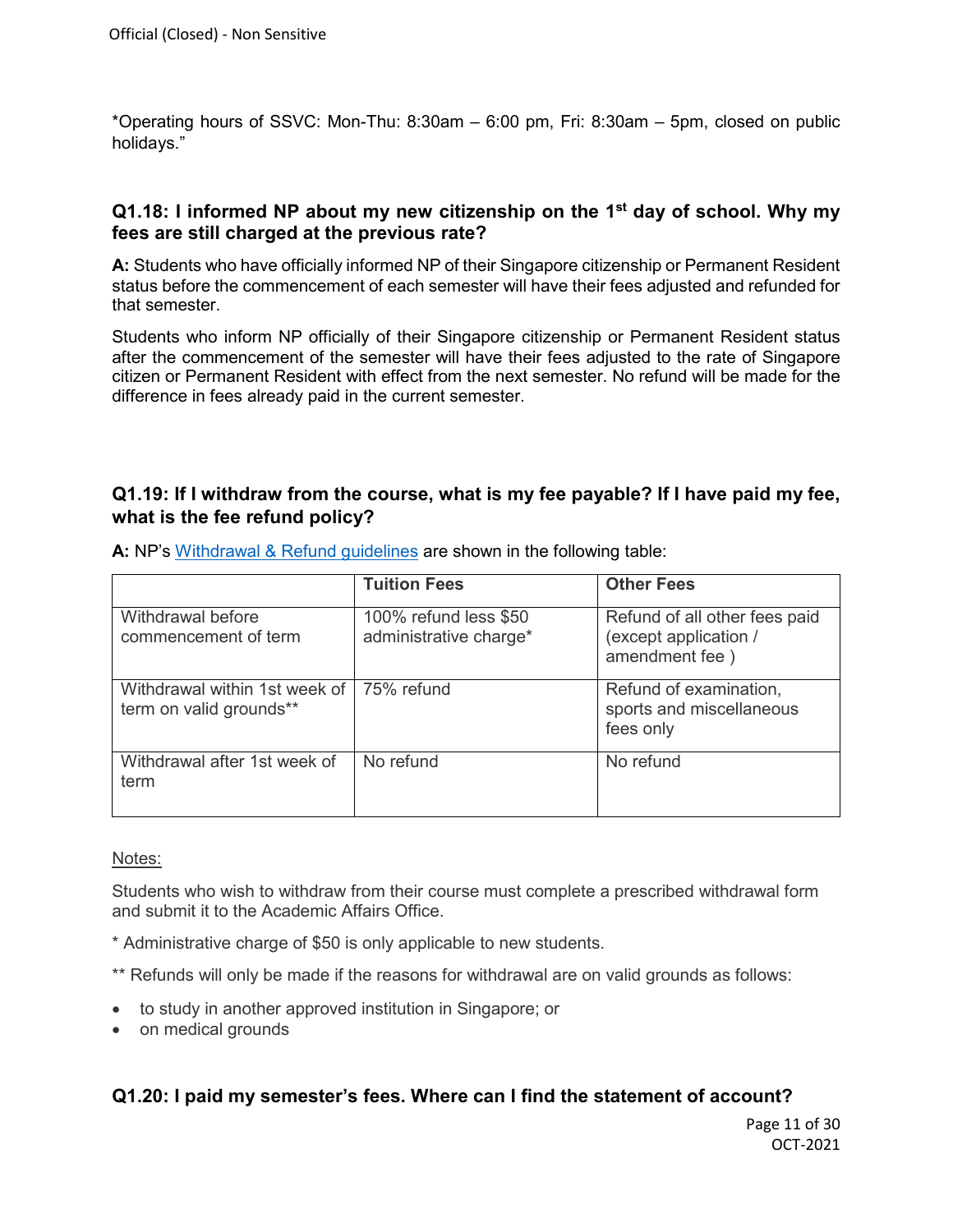\*Operating hours of SSVC: Mon-Thu: 8:30am – 6:00 pm, Fri: 8:30am – 5pm, closed on public holidays."

#### <span id="page-10-0"></span>**Q1.18: I informed NP about my new citizenship on the 1st day of school. Why my fees are still charged at the previous rate?**

**A:** Students who have officially informed NP of their Singapore citizenship or Permanent Resident status before the commencement of each semester will have their fees adjusted and refunded for that semester.

Students who inform NP officially of their Singapore citizenship or Permanent Resident status after the commencement of the semester will have their fees adjusted to the rate of Singapore citizen or Permanent Resident with effect from the next semester. No refund will be made for the difference in fees already paid in the current semester.

#### <span id="page-10-1"></span>**Q1.19: If I withdraw from the course, what is my fee payable? If I have paid my fee, what is the fee refund policy?**

|                                                            | <b>Tuition Fees</b>                             | <b>Other Fees</b>                                                        |
|------------------------------------------------------------|-------------------------------------------------|--------------------------------------------------------------------------|
| Withdrawal before<br>commencement of term                  | 100% refund less \$50<br>administrative charge* | Refund of all other fees paid<br>(except application /<br>amendment fee) |
| Withdrawal within 1st week of  <br>term on valid grounds** | 75% refund                                      | Refund of examination,<br>sports and miscellaneous<br>fees only          |
| Withdrawal after 1st week of<br>term                       | No refund                                       | No refund                                                                |

**A:** NP's [Withdrawal & Refund guidelines](https://www.np.edu.sg/admissions/Pages/coursefees.aspx) are shown in the following table:

#### Notes:

Students who wish to withdraw from their course must complete a prescribed withdrawal form and submit it to the Academic Affairs Office.

- \* Administrative charge of \$50 is only applicable to new students.
- \*\* Refunds will only be made if the reasons for withdrawal are on valid grounds as follows:
- to study in another approved institution in Singapore; or
- <span id="page-10-2"></span>• on medical grounds

#### **Q1.20: I paid my semester's fees. Where can I find the statement of account?**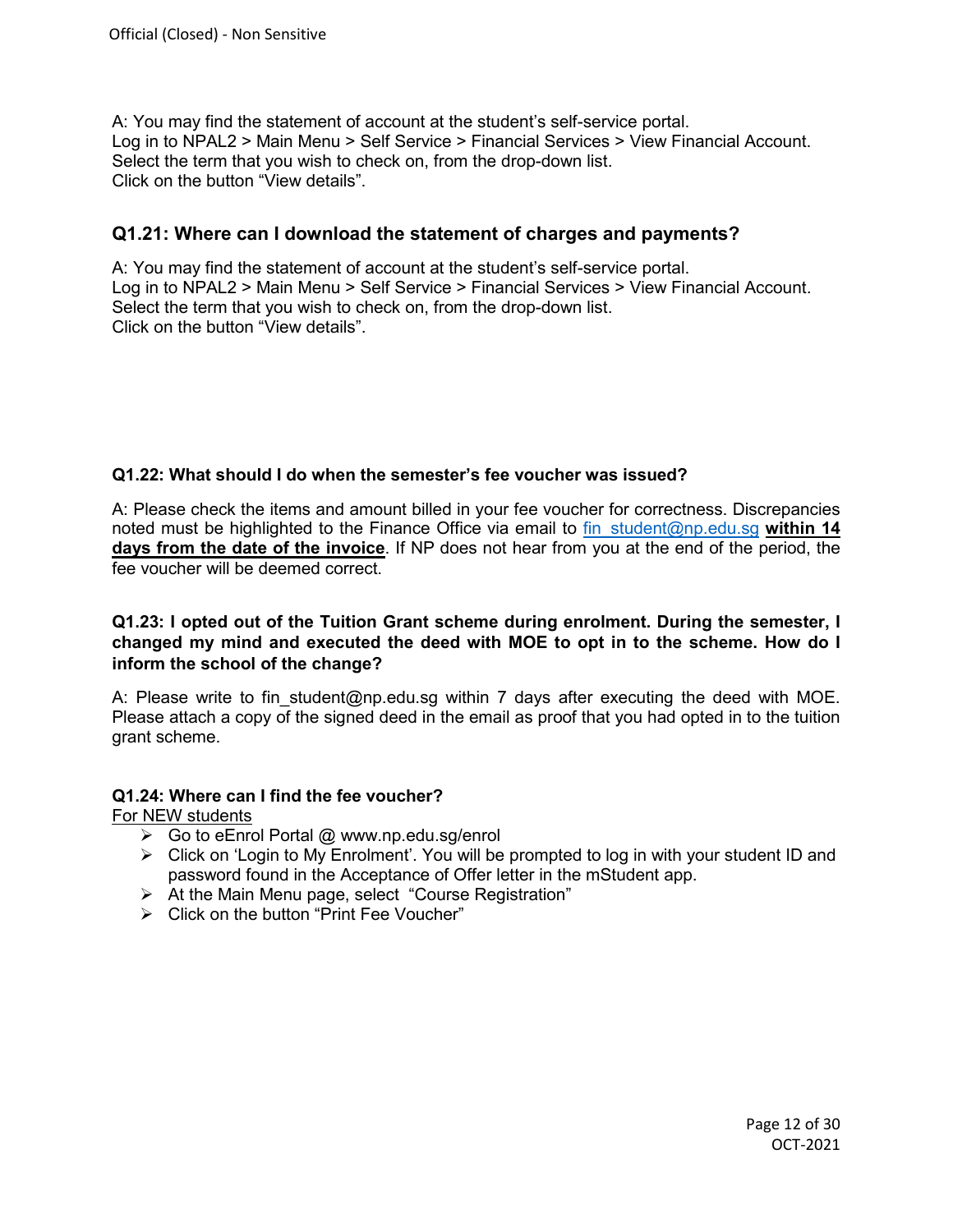A: You may find the statement of account at the student's self-service portal. Log in to NPAL2 > Main Menu > Self Service > Financial Services > View Financial Account. Select the term that you wish to check on, from the drop-down list. Click on the button "View details".

#### <span id="page-11-0"></span>**Q1.21: Where can I download the statement of charges and payments?**

A: You may find the statement of account at the student's self-service portal. Log in to NPAL2 > Main Menu > Self Service > Financial Services > View Financial Account. Select the term that you wish to check on, from the drop-down list. Click on the button "View details".

#### <span id="page-11-1"></span>**Q1.22: What should I do when the semester's fee voucher was issued?**

A: Please check the items and amount billed in your fee voucher for correctness. Discrepancies noted must be highlighted to the Finance Office via email to [fin\\_student@np.edu.sg](mailto:fin_student@np.edu.sg) **within 14 days from the date of the invoice**. If NP does not hear from you at the end of the period, the fee voucher will be deemed correct.

#### **Q1.23: I opted out of the Tuition Grant scheme during enrolment. During the semester, I changed my mind and executed the deed with MOE to opt in to the scheme. How do I inform the school of the change?**

A: Please write to fin student@np.edu.sg within 7 days after executing the deed with MOE. Please attach a copy of the signed deed in the email as proof that you had opted in to the tuition grant scheme.

#### <span id="page-11-2"></span>**Q1.24: Where can I find the fee voucher?**

For NEW students

- $\triangleright$  Go to eEnrol Portal @ www.np.edu.sq/enrol
- Click on 'Login to My Enrolment'. You will be prompted to log in with your student ID and password found in the Acceptance of Offer letter in the mStudent app.
- > At the Main Menu page, select "Course Registration"
- Click on the button "Print Fee Voucher"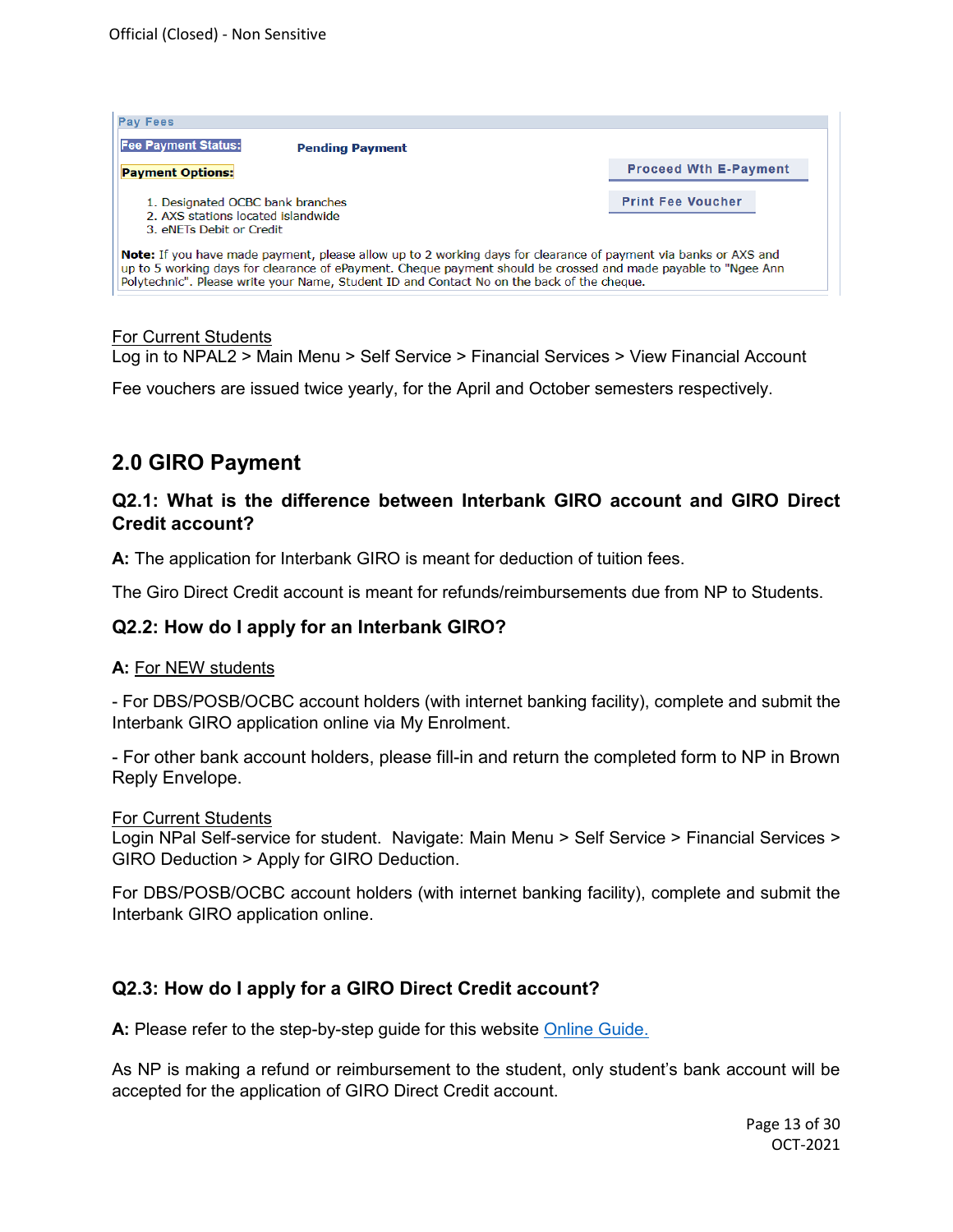| <b>Pay Fees</b>                                                                                                                                                                                                                                                                                                                        |                              |  |
|----------------------------------------------------------------------------------------------------------------------------------------------------------------------------------------------------------------------------------------------------------------------------------------------------------------------------------------|------------------------------|--|
| <b>Fee Payment Status:</b><br><b>Pending Payment</b>                                                                                                                                                                                                                                                                                   |                              |  |
| <b>Payment Options:</b>                                                                                                                                                                                                                                                                                                                | <b>Proceed Wth E-Payment</b> |  |
| 1. Designated OCBC bank branches<br>2. AXS stations located islandwide<br>3 eNETs Debit or Credit                                                                                                                                                                                                                                      | <b>Print Fee Voucher</b>     |  |
| <b>Note:</b> If you have made payment, please allow up to 2 working days for clearance of payment via banks or AXS and<br>up to 5 working days for clearance of ePayment. Cheque payment should be crossed and made payable to "Ngee Ann<br>Polytechnic". Please write your Name, Student ID and Contact No on the back of the cheque. |                              |  |

#### For Current Students

Log in to NPAL2 > Main Menu > Self Service > Financial Services > View Financial Account

Fee vouchers are issued twice yearly, for the April and October semesters respectively.

## **2.0 GIRO Payment**

#### <span id="page-12-0"></span>**Q2.1: What is the difference between Interbank GIRO account and GIRO Direct Credit account?**

**A:** The application for Interbank GIRO is meant for deduction of tuition fees.

The Giro Direct Credit account is meant for refunds/reimbursements due from NP to Students.

#### **Q2.2: [How do I apply for an Interbank GIRO?](http://www.rp.edu.sg/Fees/05_FAQ.aspx#q3_9)**

#### **A:** For NEW students

- For DBS/POSB/OCBC account holders (with internet banking facility), complete and submit the Interbank GIRO application online via My Enrolment.

- For other bank account holders, please fill-in and return the completed form to NP in Brown Reply Envelope.

For Current Students

Login NPal Self-service for student. Navigate: Main Menu > Self Service > Financial Services > GIRO Deduction > Apply for GIRO Deduction.

For DBS/POSB/OCBC account holders (with internet banking facility), complete and submit the Interbank GIRO application online.

#### <span id="page-12-1"></span>**Q2.3: [How do I apply for a GIRO Direct Credit](http://www.rp.edu.sg/Fees/05_FAQ.aspx#q3_9) account?**

**A:** Please refer to the step-by-step guide for this website [Online Guide.](https://www.np.edu.sg/enrol/Documents/Student_Bank_Online_Guide.pdf)

As NP is making a refund or reimbursement to the student, only student's bank account will be accepted for the application of GIRO Direct Credit account.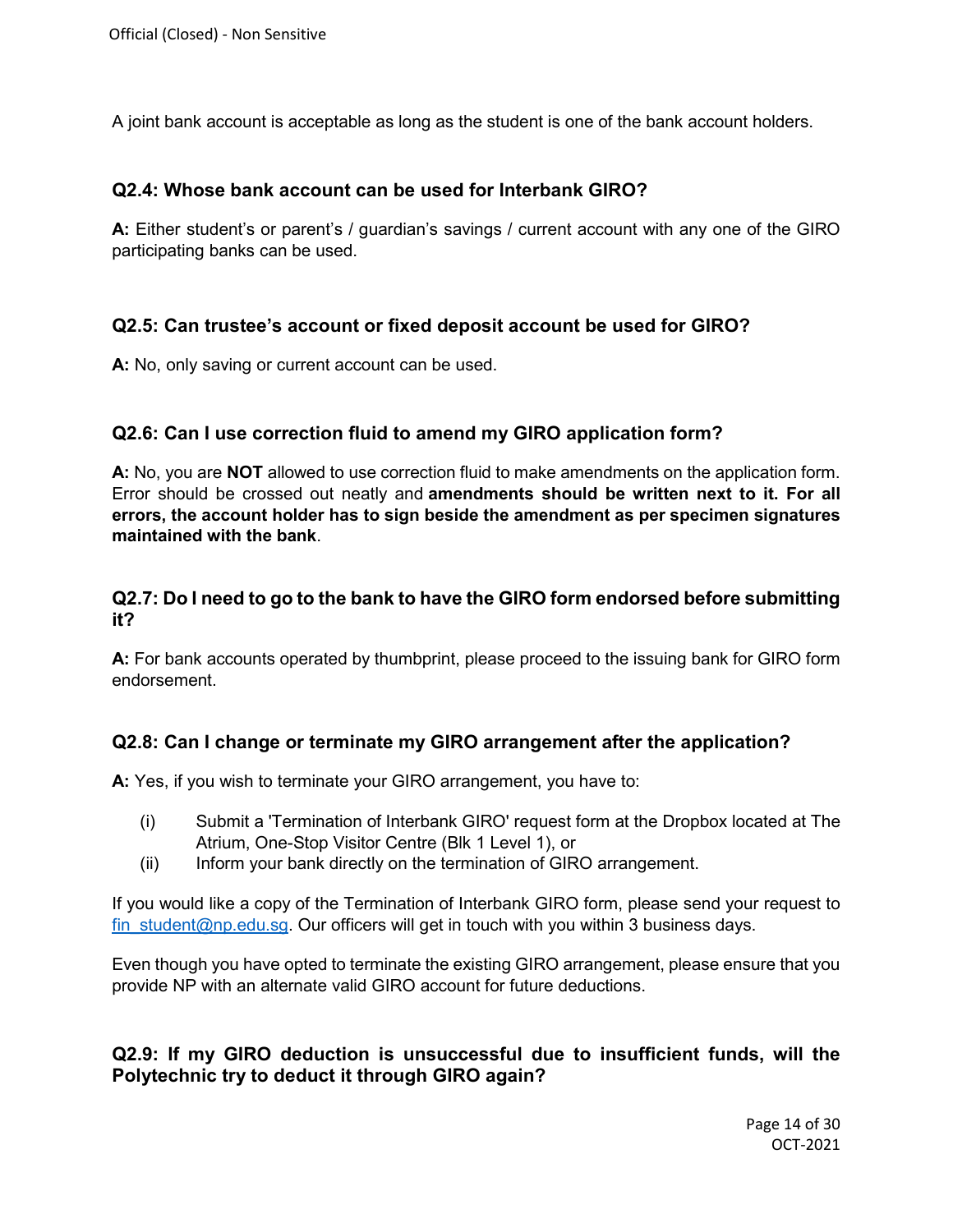<span id="page-13-0"></span>A joint bank account is acceptable as long as the student is one of the bank account holders.

#### **Q2.4: Whose bank account can be used for Interbank GIRO?**

**A:** Either student's or parent's / guardian's savings / current account with any one of the GIRO participating banks can be used.

#### <span id="page-13-1"></span>**Q2.5: Can trustee's account or fixed deposit account be used for GIRO?**

**A:** No, only saving or current account can be used.

#### <span id="page-13-2"></span>**Q2.6: Can I use correction fluid to amend my GIRO application form?**

**A:** No, you are **NOT** allowed to use correction fluid to make amendments on the application form. Error should be crossed out neatly and **amendments should be written next to it. For all errors, the account holder has to sign beside the amendment as per specimen signatures maintained with the bank**.

#### <span id="page-13-3"></span>**Q2.7: [Do I need to go to the bank to have the GIRO form endorsed before submitting](http://www.rp.edu.sg/Fees/05_FAQ.aspx#q3_10)  [it?](http://www.rp.edu.sg/Fees/05_FAQ.aspx#q3_10)**

**A:** For bank accounts operated by thumbprint, please proceed to the issuing bank for GIRO form endorsement.

#### <span id="page-13-4"></span>**Q2.8: Can I change or terminate my GIRO arrangement after the application?**

**A:** Yes, if you wish to terminate your GIRO arrangement, you have to:

- (i) Submit a 'Termination of Interbank GIRO' request form at the Dropbox located at The Atrium, One-Stop Visitor Centre (Blk 1 Level 1), or
- (ii) Inform your bank directly on the termination of GIRO arrangement.

If you would like a copy of the Termination of Interbank GIRO form, please send your request to fin student@np.edu.sg. Our officers will get in touch with you within 3 business days.

Even though you have opted to terminate the existing GIRO arrangement, please ensure that you provide NP with an alternate valid GIRO account for future deductions.

<span id="page-13-5"></span>**Q2.9: If my GIRO deduction is unsuccessful due to insufficient funds, will the Polytechnic try to deduct it through GIRO again?**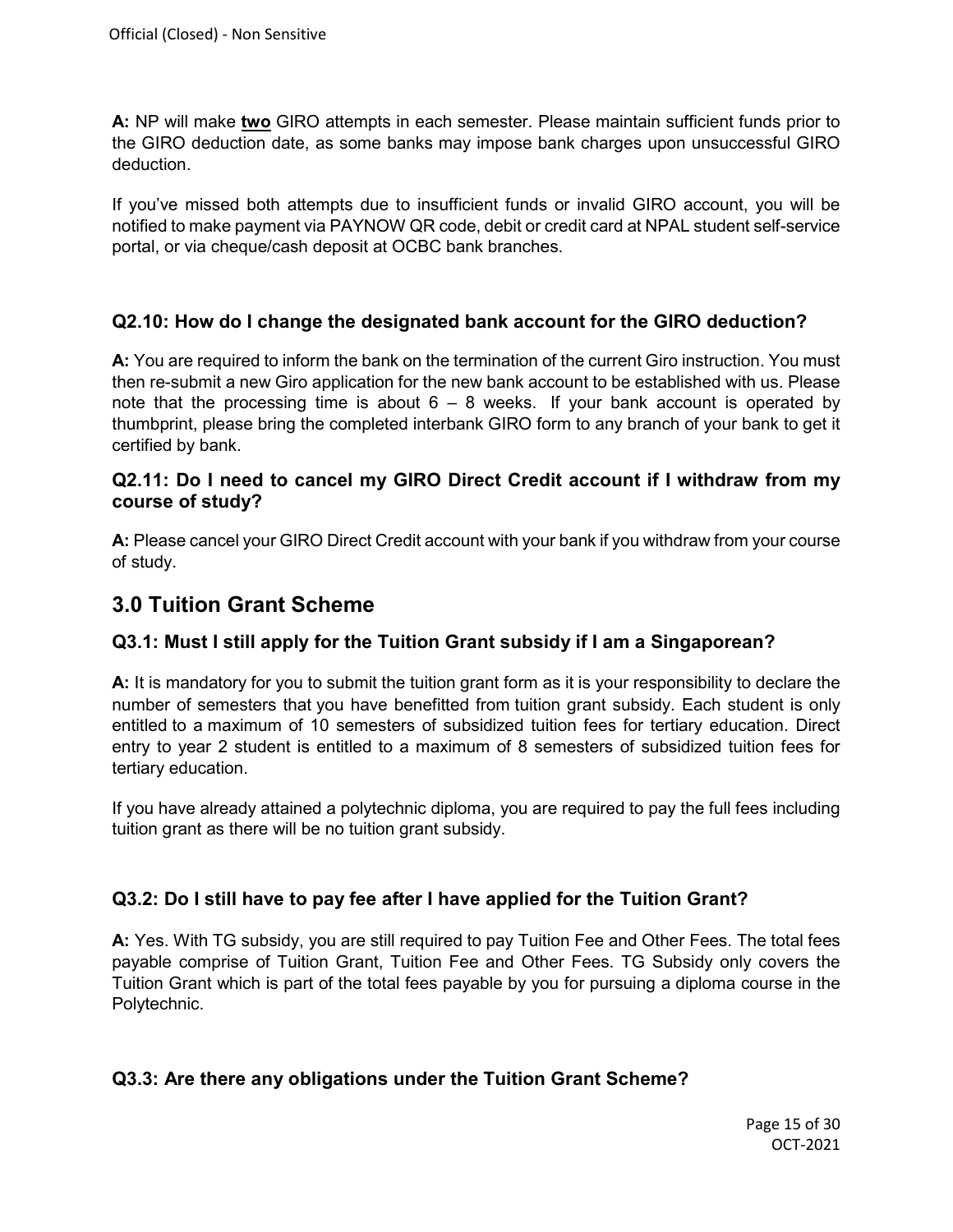**A:** NP will make **two** GIRO attempts in each semester. Please maintain sufficient funds prior to the GIRO deduction date, as some banks may impose bank charges upon unsuccessful GIRO deduction.

If you've missed both attempts due to insufficient funds or invalid GIRO account, you will be notified to make payment via PAYNOW QR code, debit or credit card at NPAL student self-service portal, or via cheque/cash deposit at OCBC bank branches.

#### <span id="page-14-0"></span>**Q2.10: [How do I change](http://www.rp.edu.sg/Fees/05_FAQ.aspx#q5_15) the designated bank account for the GIRO deduction?**

**A:** You are required to inform the bank on the termination of the current Giro instruction. You must then re-submit a new Giro application for the new bank account to be established with us. Please note that the processing time is about  $6 - 8$  weeks. If your bank account is operated by thumbprint, please bring the completed interbank GIRO form to any branch of your bank to get it certified by bank.

#### <span id="page-14-1"></span>**Q2.11: Do I need to cancel my GIRO Direct Credit account if I withdraw from my course of study?**

**A:** Please cancel your GIRO Direct Credit account with your bank if you withdraw from your course of study.

## **3.0 Tuition Grant Scheme**

#### <span id="page-14-2"></span>**Q3.1: [Must I still apply for the Tuition Grant subsidy if I am a Singaporean?](http://www.rp.edu.sg/Fees/05_FAQ.aspx#q2_3)**

**A:** It is mandatory for you to submit the tuition grant form as it is your responsibility to declare the number of semesters that you have benefitted from tuition grant subsidy. Each student is only entitled to a maximum of 10 semesters of subsidized tuition fees for tertiary education. Direct entry to year 2 student is entitled to a maximum of 8 semesters of subsidized tuition fees for tertiary education.

If you have already attained a polytechnic diploma, you are required to pay the full fees including tuition grant as there will be no tuition grant subsidy.

#### <span id="page-14-3"></span>**Q3.2: Do I still have to pay fee after I have applied for the Tuition Grant?**

**A:** Yes. With TG subsidy, you are still required to pay Tuition Fee and Other Fees. The total fees payable comprise of Tuition Grant, Tuition Fee and Other Fees. TG Subsidy only covers the Tuition Grant which is part of the total fees payable by you for pursuing a diploma course in the Polytechnic.

#### <span id="page-14-4"></span>**Q3.3: [Are there any obligations under the Tuition Grant Scheme?](http://www.rp.edu.sg/Fees/05_FAQ.aspx#q2_5)**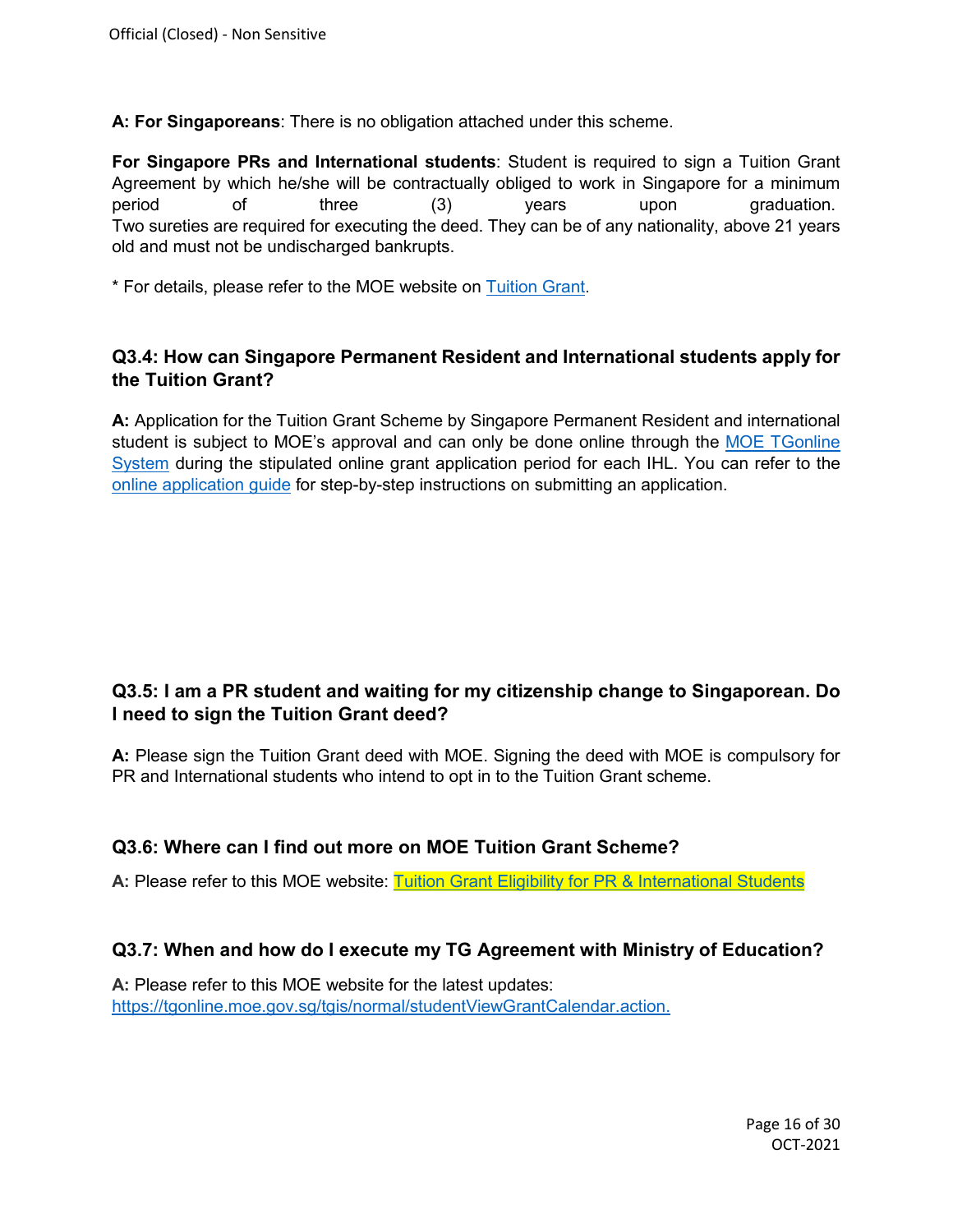**A: For Singaporeans**: There is no obligation attached under this scheme.

**For Singapore PRs and International students**: Student is required to sign a Tuition Grant Agreement by which he/she will be contractually obliged to work in Singapore for a minimum period of three (3) years upon graduation. Two sureties are required for executing the deed. They can be of any nationality, above 21 years old and must not be undischarged bankrupts.

<span id="page-15-0"></span>\* For details, please refer to the MOE website on [Tuition Grant.](http://tgonline.moe.gov.sg/tgis)

#### **Q3.4: How can Singapore Permanent Resident and International students apply for the Tuition Grant?**

<span id="page-15-1"></span>**A:** Application for the Tuition Grant Scheme by Singapore Permanent Resident and international student is subject to MOE's approval and can only be done online through the [MOE TGonline](https://tgonline.moe.gov.sg/docs/TG-FAQ-Polys.pdf)  [System](https://tgonline.moe.gov.sg/docs/TG-FAQ-Polys.pdf) during the stipulated online grant application period for each IHL. You can refer to the [online application guide](https://tgonline.moe.gov.sg/docs/Activation-ApplicationGuide.pdf) for step-by-step instructions on submitting an application.

### **Q3.5: I am a PR student and waiting for my citizenship change to Singaporean. Do I need to sign the Tuition Grant deed?**

**A:** Please sign the Tuition Grant deed with MOE. Signing the deed with MOE is compulsory for PR and International students who intend to opt in to the Tuition Grant scheme.

#### <span id="page-15-2"></span>**Q3.6: Where can I find out more on MOE Tuition Grant Scheme?**

A: Please refer to this MOE website: [Tuition Grant Eligibility for PR & International Students](https://tgonline.moe.gov.sg/docs/TG-FAQ-Polys.pdf)

#### <span id="page-15-3"></span>**Q3.7: When and how do I execute my TG Agreement with Ministry of Education?**

**A:** Please refer to this MOE website for the latest updates: [https://tgonline.moe.gov.sg/tgis/normal/studentViewGrantCalendar.action.](https://tgonline.moe.gov.sg/tgis/normal/studentViewGrantCalendar.action)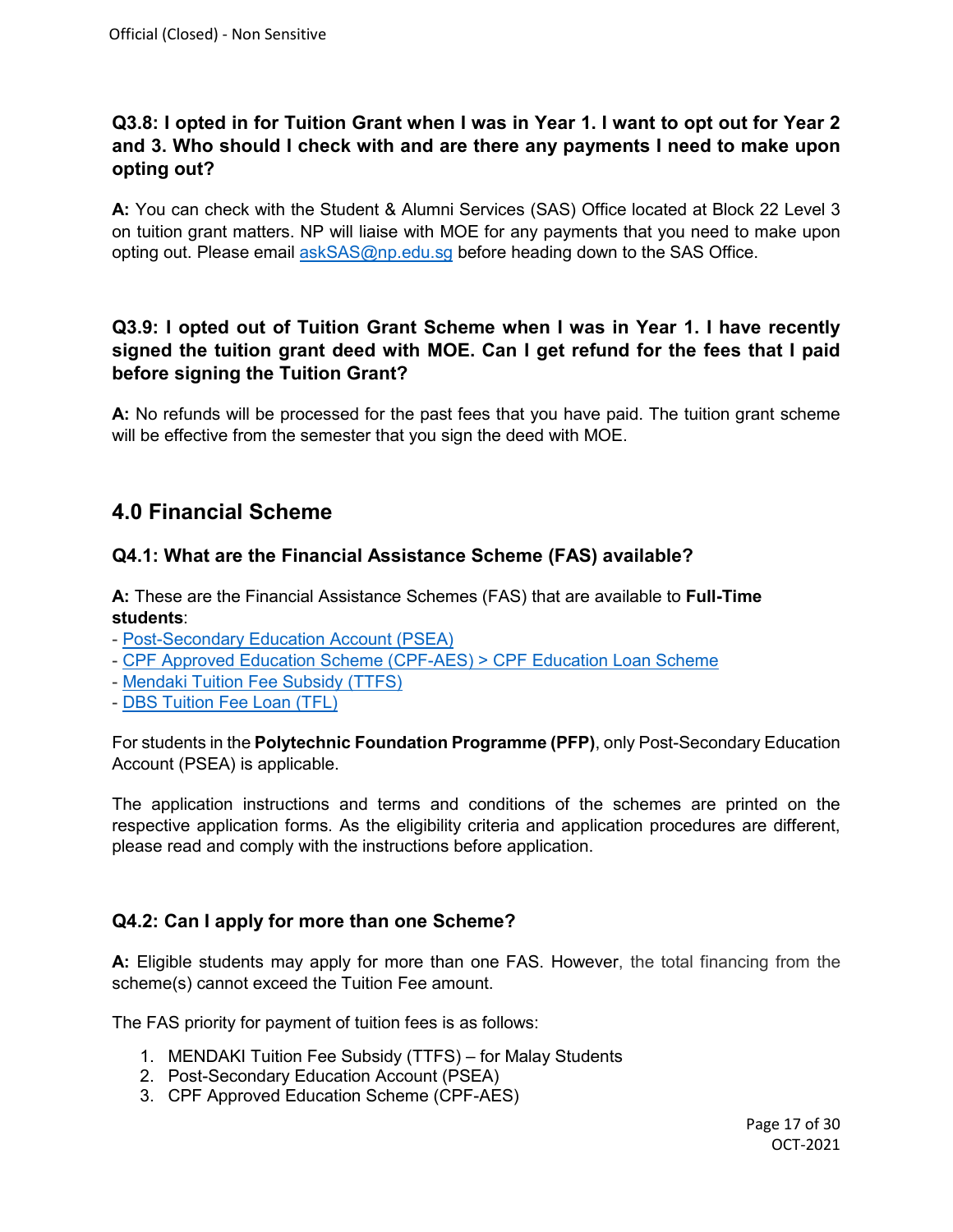## <span id="page-16-0"></span>**Q3.8: I opted in for Tuition Grant when I was in Year 1. I want to opt out for Year 2 and 3. Who should I check with and are there any payments I need to make upon opting out?**

**A:** You can check with the Student & Alumni Services (SAS) Office located at Block 22 Level 3 on tuition grant matters. NP will liaise with MOE for any payments that you need to make upon opting out. Please email [askSAS@np.edu.sg](mailto:askSAS@np.edu.sg) before heading down to the SAS Office.

## <span id="page-16-1"></span>**Q3.9: I opted out of Tuition Grant Scheme when I was in Year 1. I have recently signed the tuition grant deed with MOE. Can I get refund for the fees that I paid before signing the Tuition Grant?**

**A:** No refunds will be processed for the past fees that you have paid. The tuition grant scheme will be effective from the semester that you sign the deed with MOE.

# **4.0 Financial Scheme**

### <span id="page-16-2"></span>**Q4.1: What are the Financial Assistance Scheme (FAS) available?**

**A:** These are the Financial Assistance Schemes (FAS) that are available to **Full-Time students**:

- [Post-Secondary Education Account \(PSEA\)](https://www.moe.gov.sg/financial-matters/psea)
- [CPF Approved Education Scheme \(CPF-AES\)](https://www.cpf.gov.sg/Members/FAQ/schemes/other-matters/cpf-education-scheme) > CPF Education Loan Scheme
- [Mendaki Tuition Fee Subsidy](https://www.mendaki.org.sg/assistance_landing/tertiary-tuition-fee-subsidy-ttfs/) (TTFS)
- [DBS Tuition Fee Loan](http://www.dbs.com.sg/personal/loans/tuition-fee-loans/default.page) (TFL)

For students in the **Polytechnic Foundation Programme (PFP)**, only Post-Secondary Education Account (PSEA) is applicable.

The application instructions and terms and conditions of the schemes are printed on the respective application forms. As the eligibility criteria and application procedures are different, please read and comply with the instructions before application.

#### <span id="page-16-3"></span>**Q4.2: Can I apply for more than one Scheme?**

**A:** Eligible students may apply for more than one FAS. However, the total financing from the scheme(s) cannot exceed the Tuition Fee amount.

The FAS priority for payment of tuition fees is as follows:

- 1. MENDAKI Tuition Fee Subsidy (TTFS) for Malay Students
- 2. Post-Secondary Education Account (PSEA)
- 3. CPF Approved Education Scheme (CPF-AES)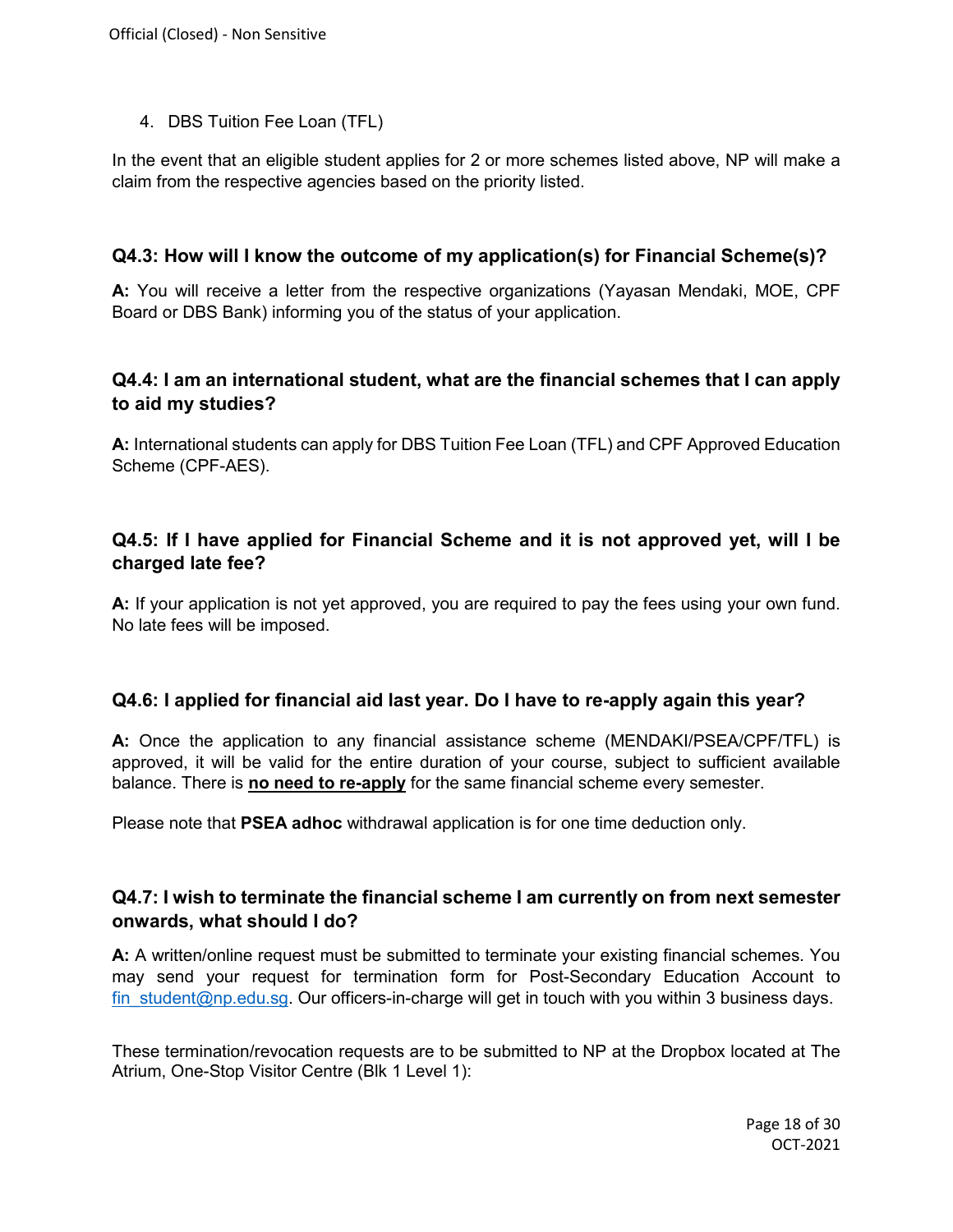4. DBS Tuition Fee Loan (TFL)

In the event that an eligible student applies for 2 or more schemes listed above, NP will make a claim from the respective agencies based on the priority listed.

#### <span id="page-17-0"></span>**Q4.3: How will I know the outcome of my application(s) for Financial Scheme(s)?**

**A:** You will receive a letter from the respective organizations (Yayasan Mendaki, MOE, CPF Board or DBS Bank) informing you of the status of your application.

#### <span id="page-17-1"></span>**Q4.4: I am an international student, what are the financial schemes that I can apply to aid my studies?**

**A:** International students can apply for DBS Tuition Fee Loan (TFL) and CPF Approved Education Scheme (CPF-AES).

### <span id="page-17-2"></span>**Q4.5: If I have applied for Financial Scheme and it is not approved yet, will I be charged late fee?**

**A:** If your application is not yet approved, you are required to pay the fees using your own fund. No late fees will be imposed.

#### <span id="page-17-3"></span>**Q4.6: I applied for financial aid last year. Do I have to re-apply again this year?**

**A:** Once the application to any financial assistance scheme (MENDAKI/PSEA/CPF/TFL) is approved, it will be valid for the entire duration of your course, subject to sufficient available balance. There is **no need to re-apply** for the same financial scheme every semester.

Please note that **PSEA adhoc** withdrawal application is for one time deduction only.

#### <span id="page-17-4"></span>**Q4.7: I wish to terminate the financial scheme I am currently on from next semester onwards, what should I do?**

**A:** A written/online request must be submitted to terminate your existing financial schemes. You may send your request for termination form for Post-Secondary Education Account to fin student@np.edu.sg. Our officers-in-charge will get in touch with you within 3 business days.

These termination/revocation requests are to be submitted to NP at the Dropbox located at The Atrium, One-Stop Visitor Centre (Blk 1 Level 1):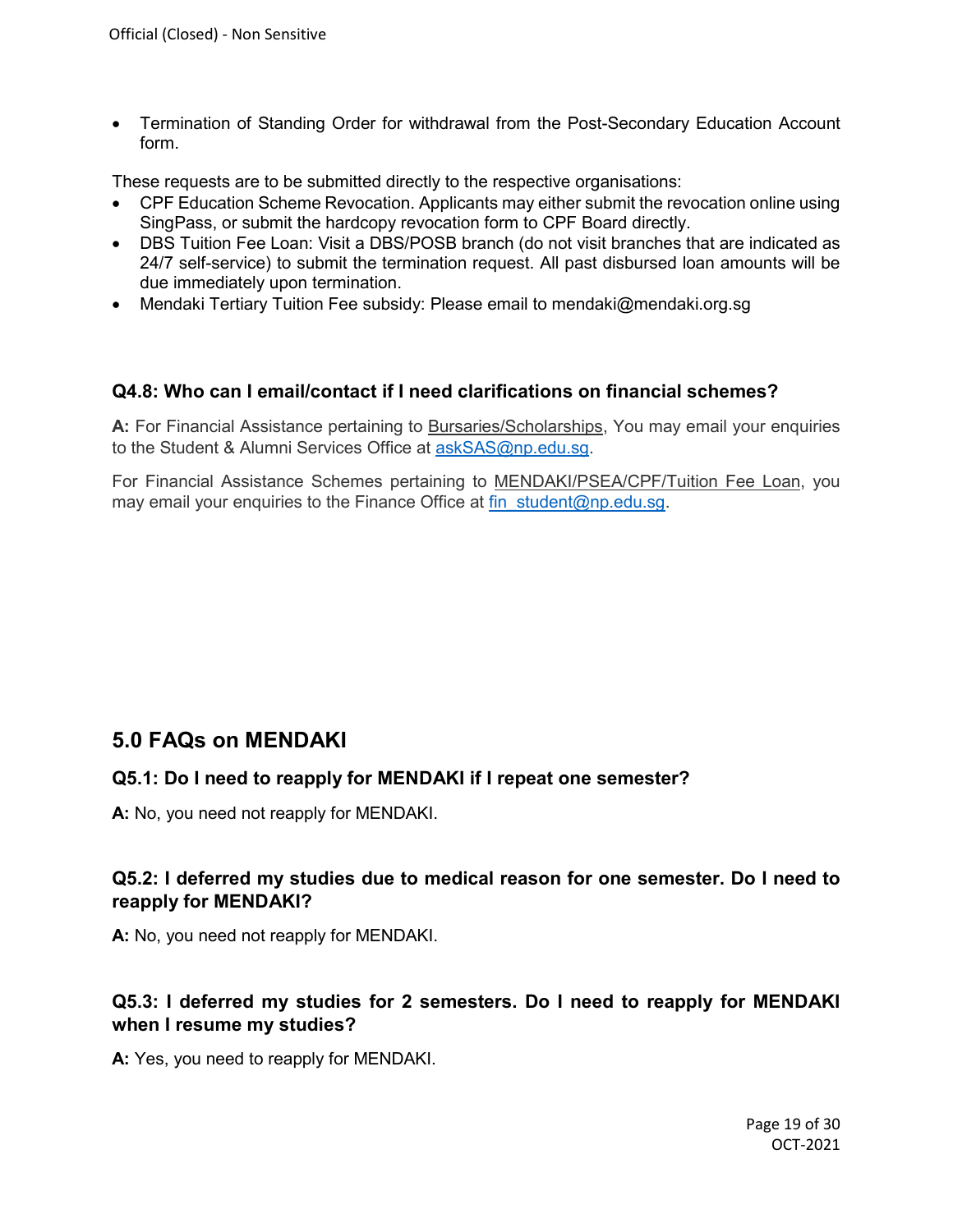• [Termination of Standing Order for withdrawal from the Post-Secondary Education Account](http://www.rp.edu.sg/uploadedFiles/Contents/RP/ADMISSIONS/Fees/PSE%20Standing%20Order%20Termination%20Form.pdf)  [form.](http://www.rp.edu.sg/uploadedFiles/Contents/RP/ADMISSIONS/Fees/PSE%20Standing%20Order%20Termination%20Form.pdf)

These requests are to be submitted directly to the respective organisations:

- CPF Education Scheme Revocation. Applicants may either submit the revocation online using SingPass, or submit the hardcopy revocation form to CPF Board directly.
- DBS Tuition Fee Loan: Visit a DBS/POSB branch (do not visit branches that are indicated as 24/7 self-service) to submit the termination request. All past disbursed loan amounts will be due immediately upon termination.
- Mendaki Tertiary Tuition Fee subsidy: Please email to mendaki@mendaki.org.sg

#### <span id="page-18-0"></span>**Q4.8: Who can I email/contact if I need clarifications on financial schemes?**

**A:** For Financial Assistance pertaining to Bursaries/Scholarships, You may email your enquiries to the Student & Alumni Services Office at [askSAS@np.edu.sg.](mailto:askSAS@np.edu.sg)

For Financial Assistance Schemes pertaining to MENDAKI/PSEA/CPF/Tuition Fee Loan, you may email your enquiries to the Finance Office at fin student@np.edu.sg.

## **5.0 FAQs on MENDAKI**

#### <span id="page-18-1"></span>**Q5.1: Do I need to reapply for MENDAKI if I repeat one semester?**

**A:** No, you need not reapply for MENDAKI.

#### <span id="page-18-2"></span>**Q5.2: I deferred my studies due to medical reason for one semester. Do I need to reapply for MENDAKI?**

**A:** No, you need not reapply for MENDAKI.

### <span id="page-18-3"></span>**Q5.3: I deferred my studies for 2 semesters. Do I need to reapply for MENDAKI when I resume my studies?**

**A:** Yes, you need to reapply for MENDAKI.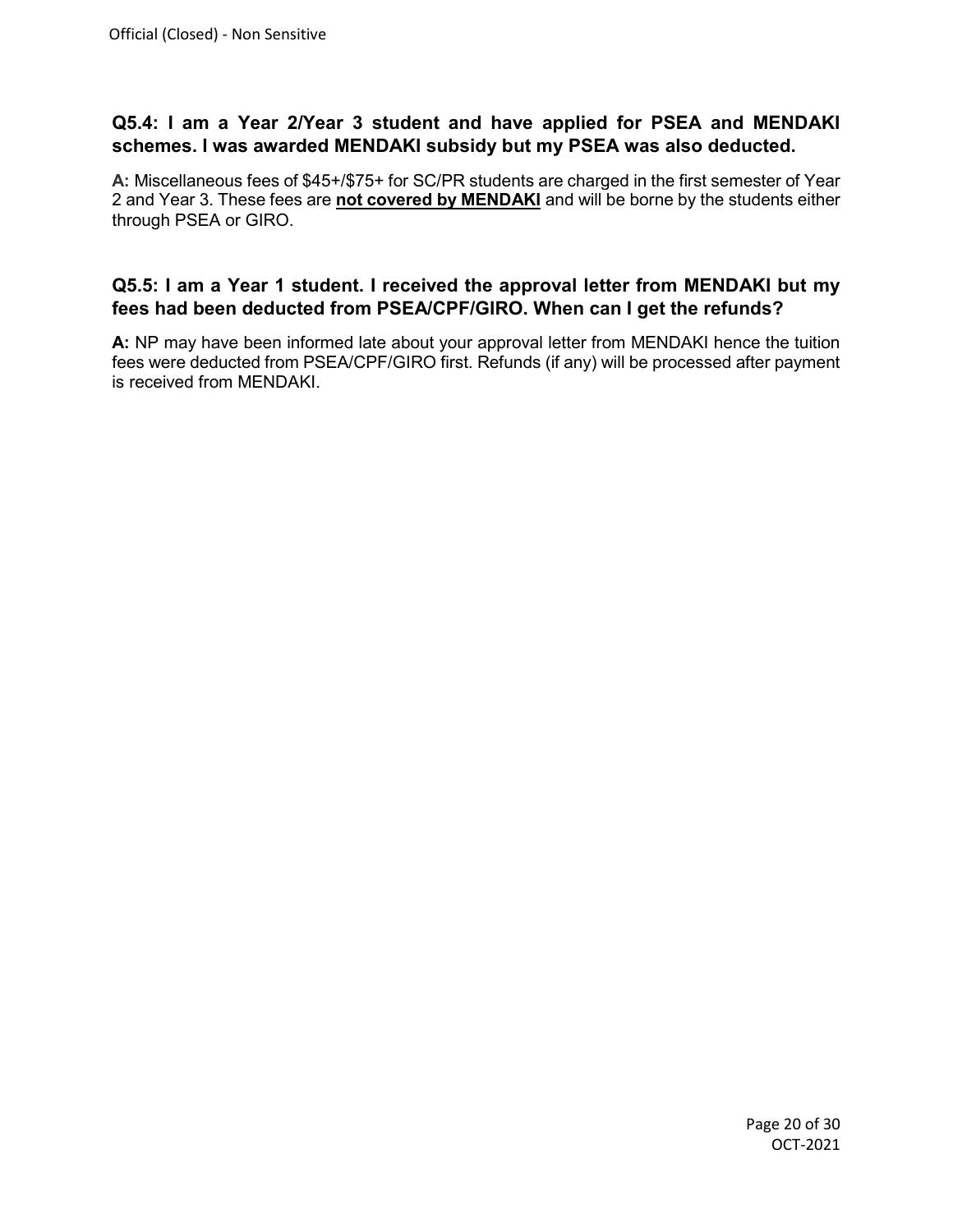### <span id="page-19-0"></span>**Q5.4: I am a Year 2/Year 3 student and have applied for PSEA and MENDAKI schemes. I was awarded MENDAKI subsidy but my PSEA was also deducted.**

**A:** Miscellaneous fees of \$45+/\$75+ for SC/PR students are charged in the first semester of Year 2 and Year 3. These fees are **not covered by MENDAKI** and will be borne by the students either through PSEA or GIRO.

#### <span id="page-19-1"></span>**Q5.5: I am a Year 1 student. I received the approval letter from MENDAKI but my fees had been deducted from PSEA/CPF/GIRO. When can I get the refunds?**

**A:** NP may have been informed late about your approval letter from MENDAKI hence the tuition fees were deducted from PSEA/CPF/GIRO first. Refunds (if any) will be processed after payment is received from MENDAKI.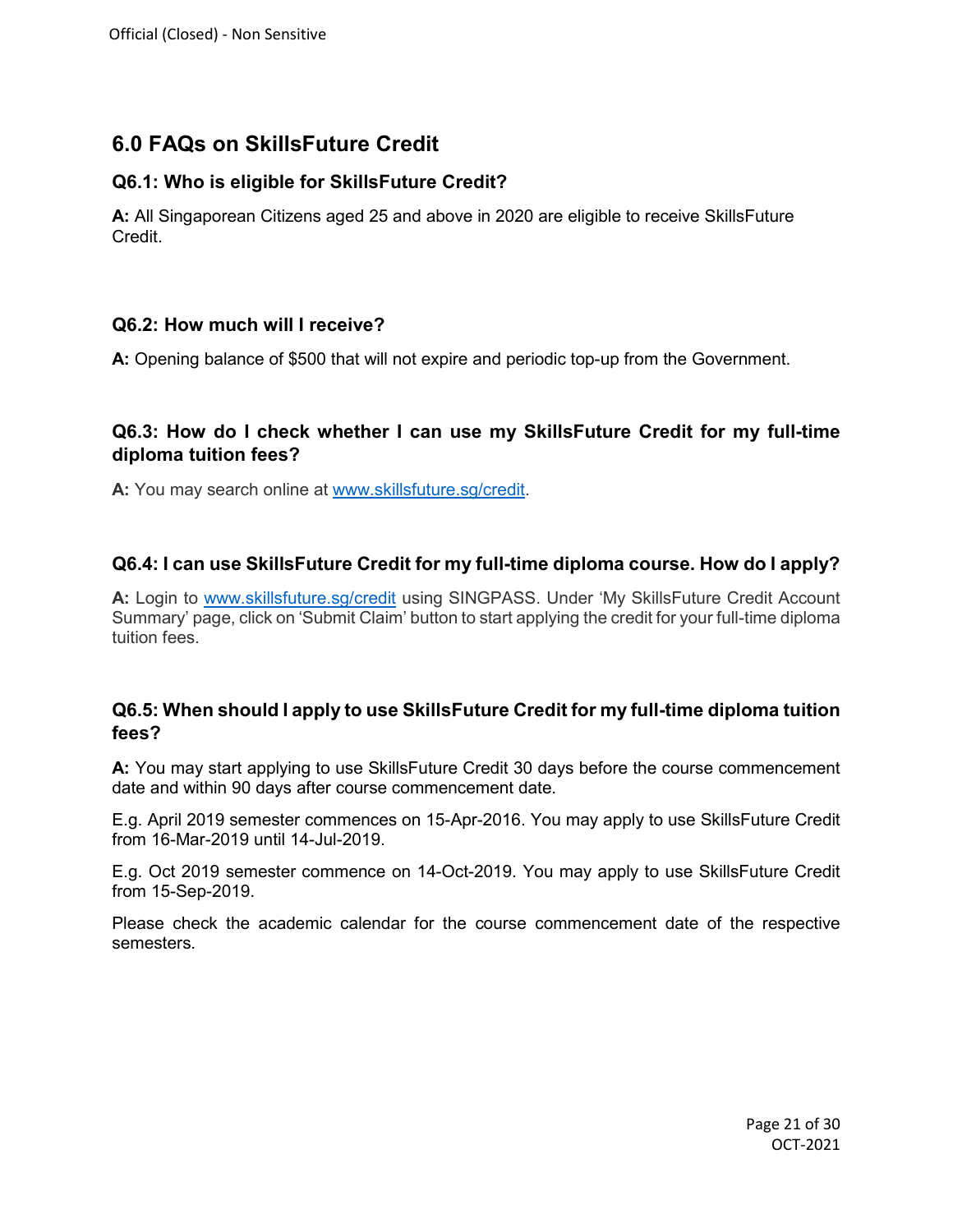# **6.0 FAQs on SkillsFuture Credit**

## <span id="page-20-0"></span>**Q6.1: Who is eligible for SkillsFuture Credit?**

**A:** All Singaporean Citizens aged 25 and above in 2020 are eligible to receive SkillsFuture Credit.

## <span id="page-20-1"></span>**Q6.2: How much will I receive?**

**A:** Opening balance of \$500 that will not expire and periodic top-up from the Government.

## <span id="page-20-2"></span>**Q6.3: How do I check whether I can use my SkillsFuture Credit for my full-time diploma tuition fees?**

**A:** You may search online at [www.skillsfuture.sg/credit.](http://www.skillsfuture.sg/credit)

# <span id="page-20-3"></span>**Q6.4: I can use SkillsFuture Credit for my full-time diploma course. How do I apply?**

**A:** Login to [www.skillsfuture.sg/credit](http://www.skillsfuture.sg/credit) using SINGPASS. Under 'My SkillsFuture Credit Account Summary' page, click on 'Submit Claim' button to start applying the credit for your full-time diploma tuition fees.

## <span id="page-20-4"></span>**Q6.5: When should I apply to use SkillsFuture Credit for my full-time diploma tuition fees?**

**A:** You may start applying to use SkillsFuture Credit 30 days before the course commencement date and within 90 days after course commencement date.

E.g. April 2019 semester commences on 15-Apr-2016. You may apply to use SkillsFuture Credit from 16-Mar-2019 until 14-Jul-2019.

E.g. Oct 2019 semester commence on 14-Oct-2019. You may apply to use SkillsFuture Credit from 15-Sep-2019.

Please check the academic calendar for the course commencement date of the respective semesters.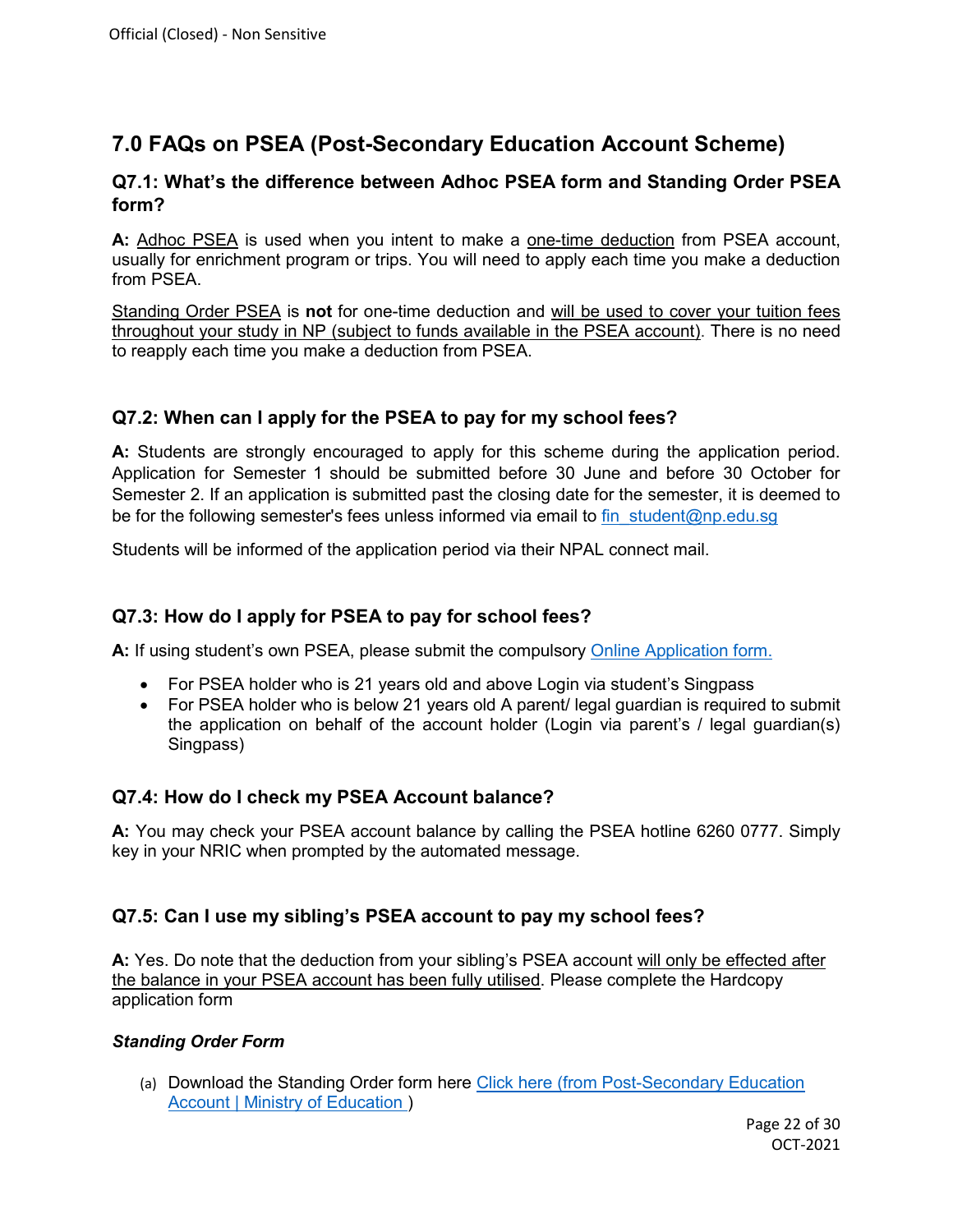# **7.0 FAQs on PSEA (Post-Secondary Education Account Scheme)**

#### <span id="page-21-0"></span>**Q7.1: What's the difference between Adhoc PSEA form and Standing Order PSEA form?**

**A:** Adhoc PSEA is used when you intent to make a one-time deduction from PSEA account, usually for enrichment program or trips. You will need to apply each time you make a deduction from PSEA.

Standing Order PSEA is **not** for one-time deduction and will be used to cover your tuition fees throughout your study in NP (subject to funds available in the PSEA account). There is no need to reapply each time you make a deduction from PSEA.

### <span id="page-21-1"></span>**Q7.2: When can I apply for the PSEA to pay for my school fees?**

**A:** Students are strongly encouraged to apply for this scheme during the application period. Application for Semester 1 should be submitted before 30 June and before 30 October for Semester 2. If an application is submitted past the closing date for the semester, it is deemed to be for the following semester's fees unless informed via email to fin student@np.edu.sg

Students will be informed of the application period via their NPAL connect mail.

#### <span id="page-21-2"></span>**Q7.3: How do I apply for PSEA to pay for school fees?**

**A:** If using student's own PSEA, please submit the compulsory [Online Application form.](https://form.gov.sg/#!/5dce03451834d1001409adb8)

- For PSEA holder who is 21 years old and above Login via student's Singpass
- For PSEA holder who is below 21 years old A parent/ legal guardian is required to submit the application on behalf of the account holder (Login via parent's / legal guardian(s) Singpass)

#### <span id="page-21-3"></span>**Q7.4: How do I check my PSEA Account balance?**

**A:** You may check your PSEA account balance by calling the PSEA hotline 6260 0777. Simply key in your NRIC when prompted by the automated message.

#### <span id="page-21-4"></span>**Q7.5: Can I use my sibling's PSEA account to pay my school fees?**

**A:** Yes. Do note that the deduction from your sibling's PSEA account will only be effected after the balance in your PSEA account has been fully utilised. Please complete the Hardcopy application form

#### *Standing Order Form*

(a) Download the Standing Order form [here](https://www.moe.gov.sg/education/post-secondary/post-secondary-education-account/usage) [Click here](https://www.moe.gov.sg/-/media/files/financial-matters/psea-standing-order-form.pdf?la=en&hash=BF3931F88B9E709D34CF46D25144C3D83609AC32) (from [Post-Secondary Education](https://www.moe.gov.sg/financial-matters/psea)  [Account | Ministry of Education \)](https://www.moe.gov.sg/financial-matters/psea)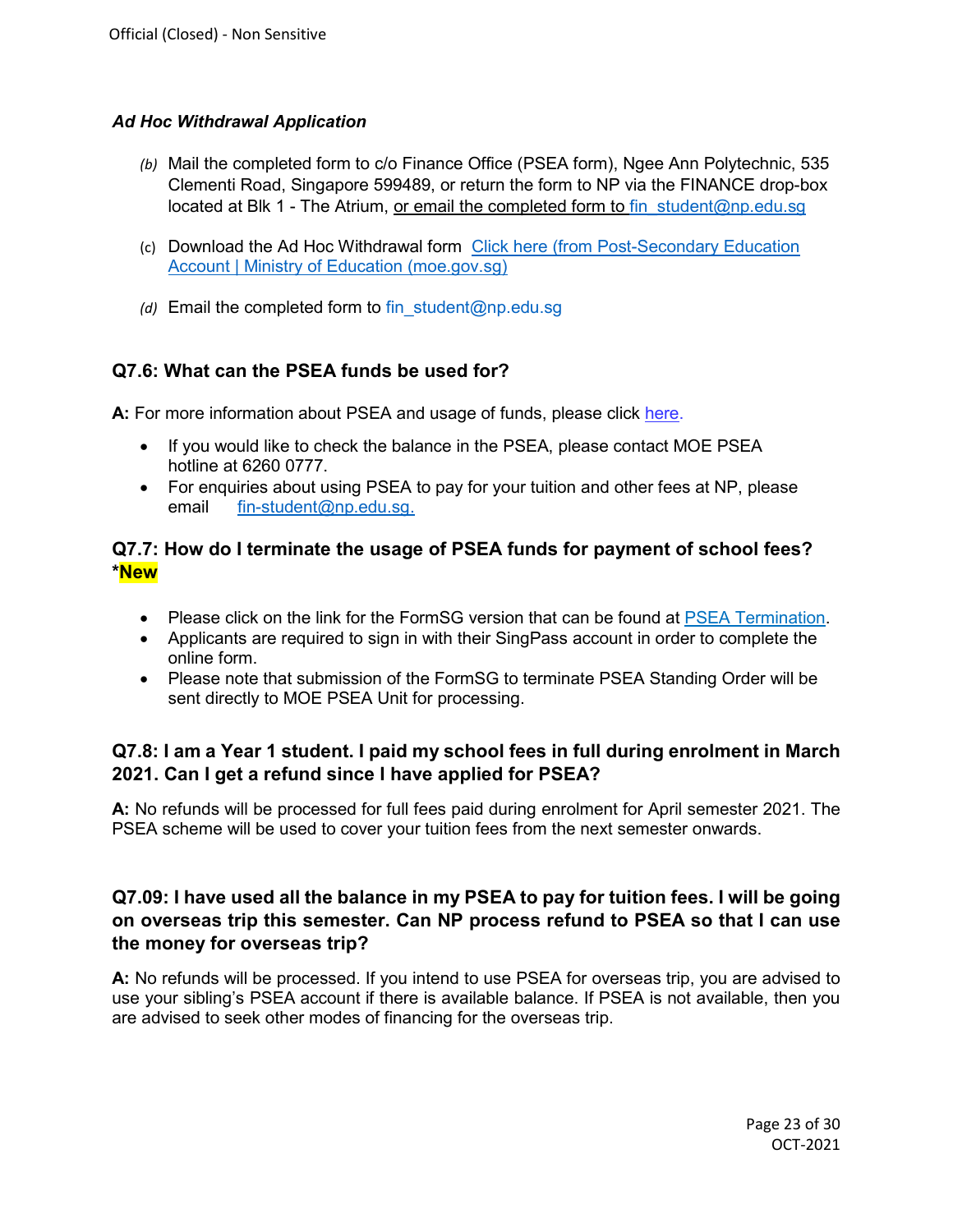## *Ad Hoc Withdrawal Application*

- *(b)* Mail the completed form to c/o Finance Office (PSEA form), Ngee Ann Polytechnic, 535 Clementi Road, Singapore 599489, or return the form to NP via the FINANCE drop-box located at Blk 1 - The Atrium, or email the completed form to fin student@np.edu.sg
- (c) Download the Ad Hoc Withdrawal form [Click here](https://www.moe.gov.sg/-/media/files/financial-matters/psea-standing-order-form.pdf?la=en&hash=BF3931F88B9E709D34CF46D25144C3D83609AC32) (from [Post-Secondary Education](https://www.moe.gov.sg/financial-matters/psea)  [Account | Ministry of Education \(moe.gov.sg\)](https://www.moe.gov.sg/financial-matters/psea)
- *(d)* Email the completed form to [fin\\_student@np.edu.sg](mailto:fin_student@np.edu.sg)

# <span id="page-22-0"></span>**Q7.6: What can the PSEA funds be used for?**

**A:** For more information about PSEA and usage of funds, please click [here.](https://www.moe.gov.sg/financial-matters/psea)

- If you would like to check the balance in the PSEA, please contact MOE PSEA hotline at 6260 0777.
- For enquiries about using PSEA to pay for your tuition and other fees at NP, please email [fin-student@np.edu.sg.](mailto:fin-student@np.edu.sg)

## <span id="page-22-1"></span>**Q7.7: How do I terminate the usage of PSEA funds for payment of school fees? \*New**

- Please click on the link for the FormSG version that can be found at [PSEA Termination.](https://go.gov.sg/psea-so-termination)
- Applicants are required to sign in with their SingPass account in order to complete the online form.
- Please note that submission of the FormSG to terminate PSEA Standing Order will be sent directly to MOE PSEA Unit for processing.

## <span id="page-22-2"></span>**Q7.8: I am a Year 1 student. I paid my school fees in full during enrolment in March 2021. Can I get a refund since I have applied for PSEA?**

**A:** No refunds will be processed for full fees paid during enrolment for April semester 2021. The PSEA scheme will be used to cover your tuition fees from the next semester onwards.

## **Q7.09: I have used all the balance in my PSEA to pay for tuition fees. I will be going on overseas trip this semester. Can NP process refund to PSEA so that I can use the money for overseas trip?**

<span id="page-22-3"></span>**A:** No refunds will be processed. If you intend to use PSEA for overseas trip, you are advised to use your sibling's PSEA account if there is available balance. If PSEA is not available, then you are advised to seek other modes of financing for the overseas trip.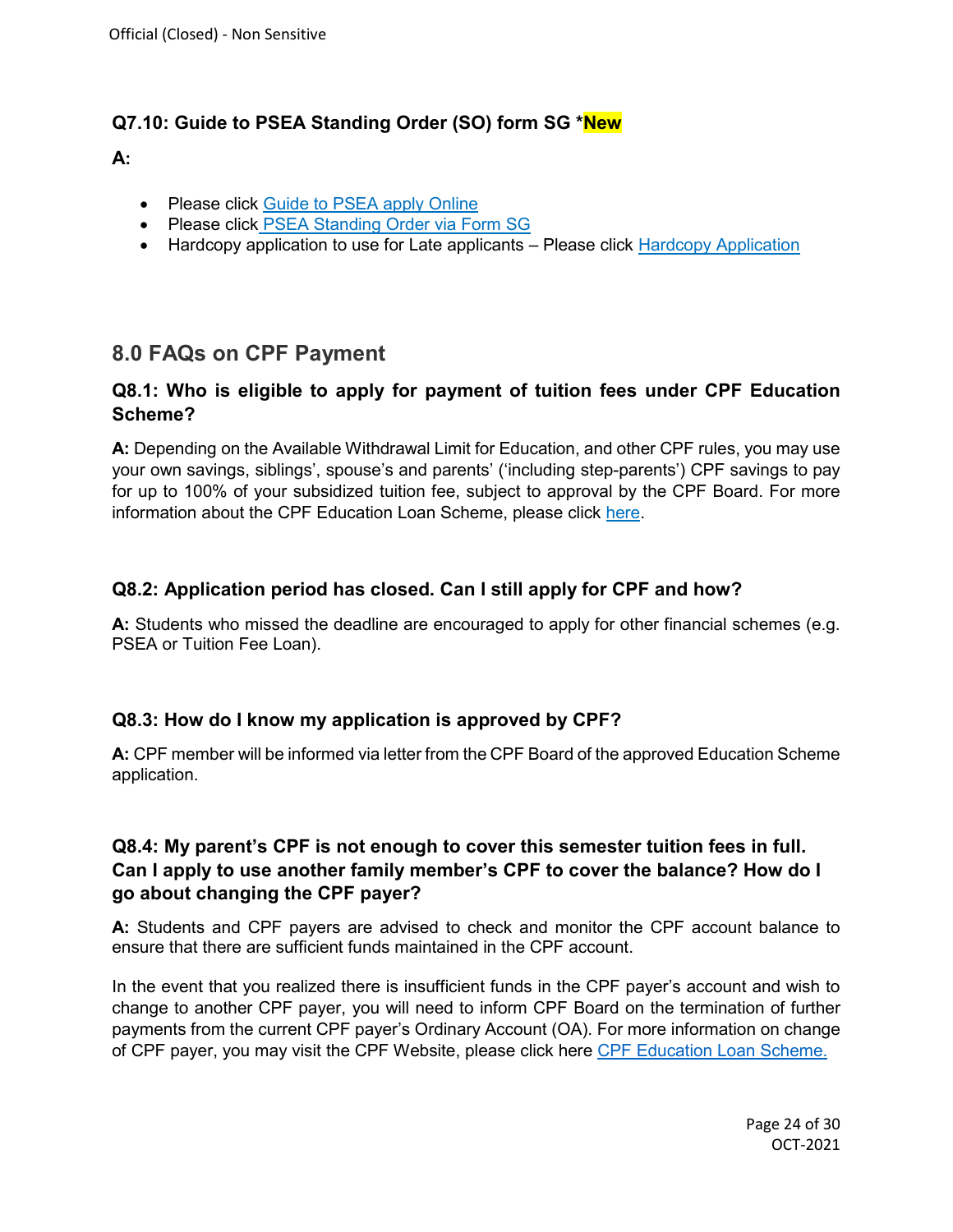## **Q7.10: Guide to PSEA Standing Order (SO) form SG \*New**

#### **A:**

- Please click [Guide to PSEA apply Online](https://www.moe.gov.sg/financial-matters/psea/)
- Please click [PSEA Standing Order via Form SG](https://go.gov.sg/psea-p2s)
- Hardcopy application to use for Late applicants Please click [Hardcopy Application](https://www.moe.gov.sg/financial-matters/psea/how-to-use)

# **8.0 FAQs on CPF Payment**

### <span id="page-23-0"></span>**Q8.1: Who is eligible to apply for payment of tuition fees under CPF Education Scheme?**

**A:** Depending on the Available Withdrawal Limit for Education, and other CPF rules, you may use your own savings, siblings', spouse's and parents' ('including step-parents') CPF savings to pay for up to 100% of your subsidized tuition fee, subject to approval by the CPF Board. For more information about the CPF Education Loan Scheme, please click [here.](https://www.cpf.gov.sg/Members/Schemes/schemes/other-matters/cpf-education-scheme)

## <span id="page-23-1"></span>**Q8.2: Application period has closed. Can I still apply for CPF and how?**

**A:** Students who missed the deadline are encouraged to apply for other financial schemes (e.g. PSEA or Tuition Fee Loan).

#### <span id="page-23-2"></span>**Q8.3: How do I know my application is approved by CPF?**

**A:** CPF member will be informed via letter from the CPF Board of the approved Education Scheme application.

### <span id="page-23-3"></span>**Q8.4: My parent's CPF is not enough to cover this semester tuition fees in full. Can I apply to use another family member's CPF to cover the balance? How do I go about changing the CPF payer?**

**A:** Students and CPF payers are advised to check and monitor the CPF account balance to ensure that there are sufficient funds maintained in the CPF account.

In the event that you realized there is insufficient funds in the CPF payer's account and wish to change to another CPF payer, you will need to inform CPF Board on the termination of further payments from the current CPF payer's Ordinary Account (OA). For more information on change of CPF payer, you may visit the CPF Website, please click here [CPF Education Loan Scheme.](https://www.cpf.gov.sg/Members/FAQ/schemes/other-matters/cpf-education-loan-scheme)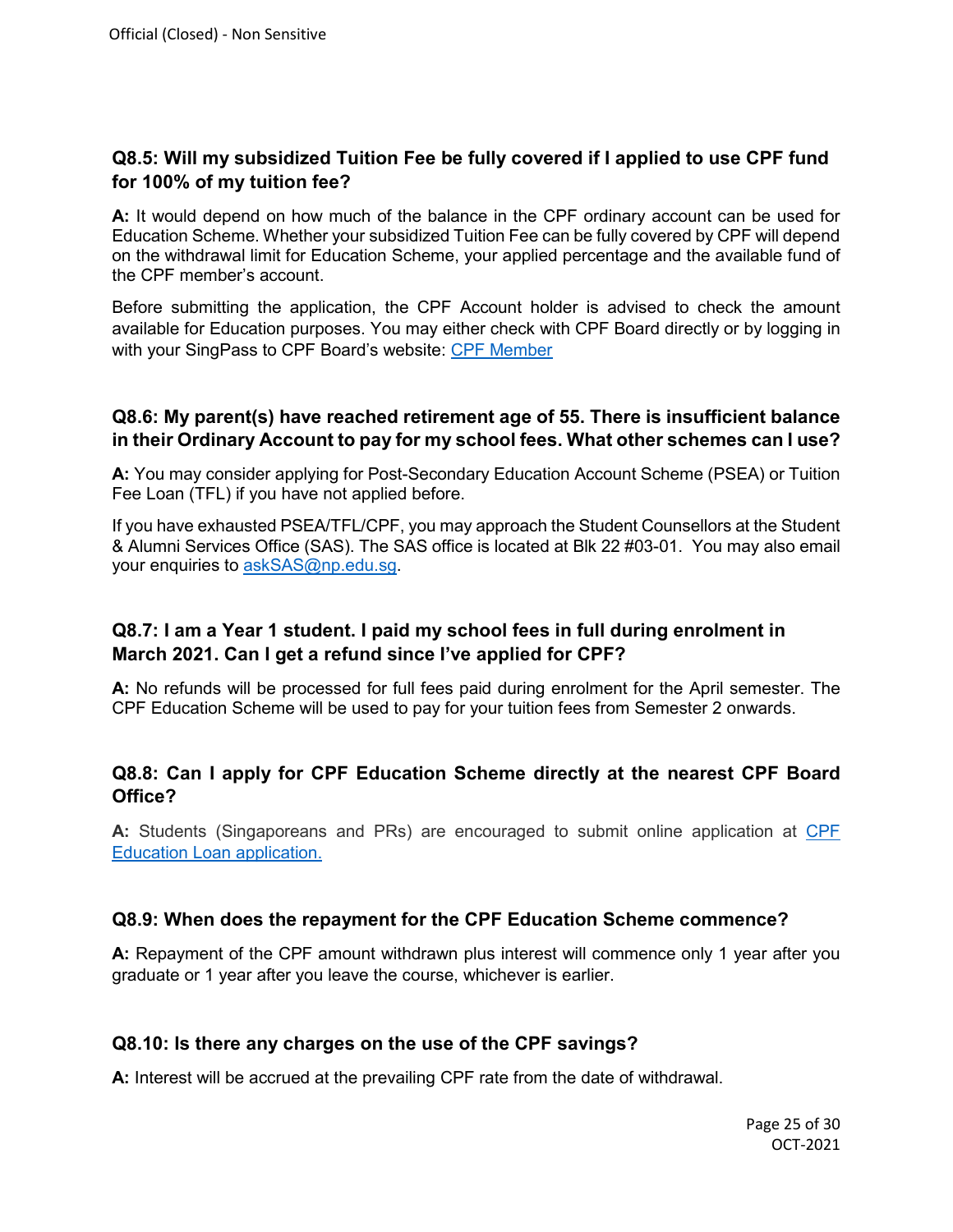### <span id="page-24-0"></span>**Q8.5: Will my subsidized Tuition Fee be fully covered if I applied to use CPF fund for 100% of my tuition fee?**

**A:** It would depend on how much of the balance in the CPF ordinary account can be used for Education Scheme. Whether your subsidized Tuition Fee can be fully covered by CPF will depend on the withdrawal limit for Education Scheme, your applied percentage and the available fund of the CPF member's account.

Before submitting the application, the CPF Account holder is advised to check the amount available for Education purposes. You may either check with CPF Board directly or by logging in with your SingPass to CPF Board's website: [CPF Member](http://www.cpf.gov.sg/Members/)

#### <span id="page-24-1"></span>**Q8.6: My parent(s) have reached retirement age of 55. There is insufficient balance in their Ordinary Account to pay for my school fees. What other schemes can I use?**

**A:** You may consider applying for Post-Secondary Education Account Scheme (PSEA) or Tuition Fee Loan (TFL) if you have not applied before.

If you have exhausted PSEA/TFL/CPF, you may approach the Student Counsellors at the Student & Alumni Services Office (SAS). The SAS office is located at Blk 22 #03-01. You may also email your enquiries to askSAS@np.edu.sq.

### <span id="page-24-2"></span>**Q8.7: I am a Year 1 student. I paid my school fees in full during enrolment in March 2021. Can I get a refund since I've applied for CPF?**

**A:** No refunds will be processed for full fees paid during enrolment for the April semester. The CPF Education Scheme will be used to pay for your tuition fees from Semester 2 onwards.

#### <span id="page-24-3"></span>**Q8.8: Can I apply for CPF Education Scheme directly at the nearest CPF Board Office?**

**A:** Students (Singaporeans and PRs) are encouraged to submit online application at [CPF](https://www.cpf.gov.sg/Members/FAQ/schemes/other-matters/cpf-education-loan-scheme)  [Education Loan application.](https://www.cpf.gov.sg/Members/FAQ/schemes/other-matters/cpf-education-loan-scheme)

#### <span id="page-24-4"></span>**Q8.9: When does the repayment for the CPF Education Scheme commence?**

**A:** Repayment of the CPF amount withdrawn plus interest will commence only 1 year after you graduate or 1 year after you leave the course, whichever is earlier.

#### <span id="page-24-5"></span>**Q8.10: Is there any charges on the use of the CPF savings?**

**A:** Interest will be accrued at the prevailing CPF rate from the date of withdrawal.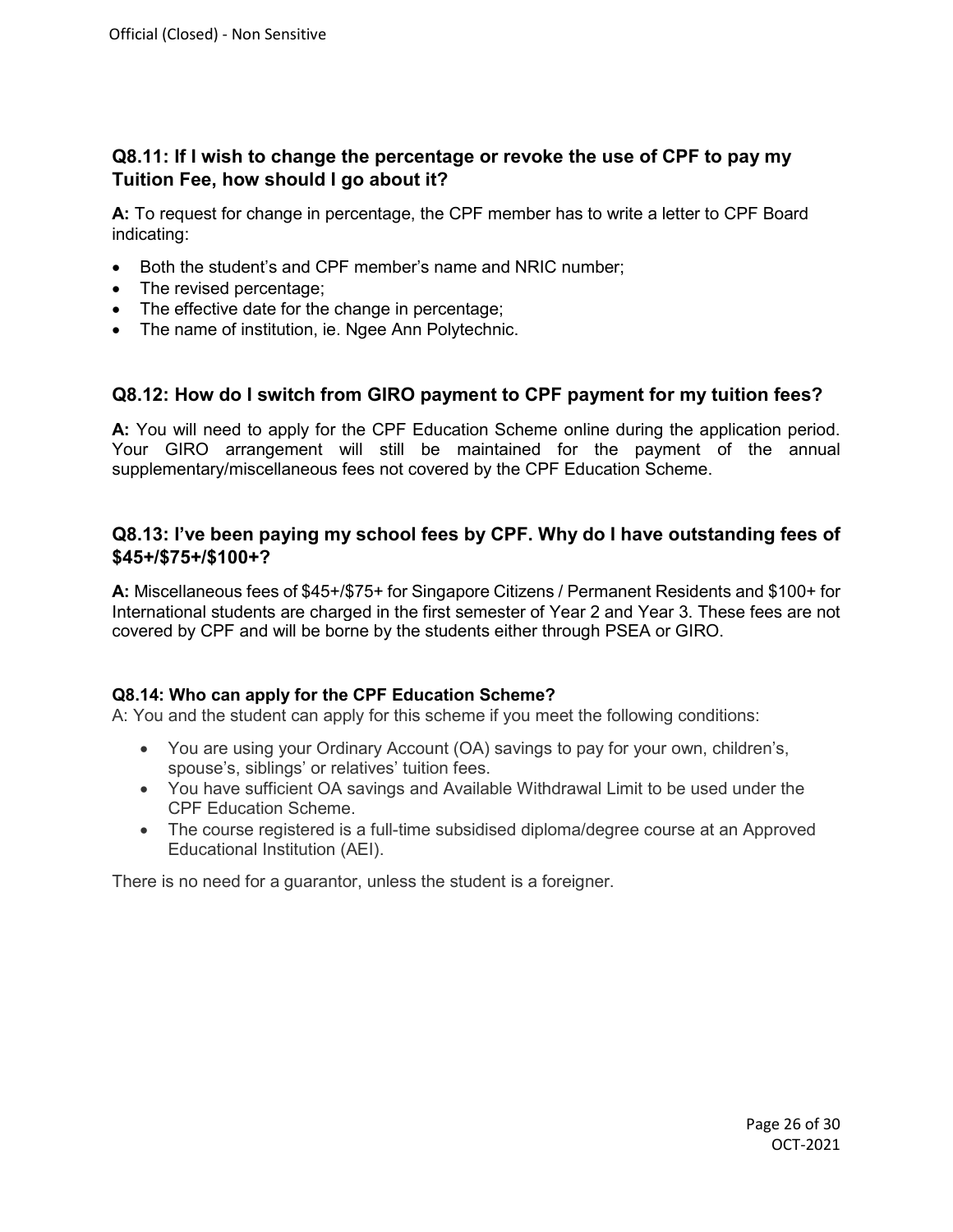### <span id="page-25-0"></span>**Q8.11: If I wish to change the percentage or revoke the use of CPF to pay my Tuition Fee, how should I go about it?**

**A:** To request for change in percentage, the CPF member has to write a letter to CPF Board indicating:

- Both the student's and CPF member's name and NRIC number;
- The revised percentage;
- The effective date for the change in percentage;
- The name of institution, ie. Ngee Ann Polytechnic.

#### <span id="page-25-1"></span>**Q8.12: How do I switch from GIRO payment to CPF payment for my tuition fees?**

**A:** You will need to apply for the CPF Education Scheme online during the application period. Your GIRO arrangement will still be maintained for the payment of the annual supplementary/miscellaneous fees not covered by the CPF Education Scheme.

#### <span id="page-25-2"></span>**Q8.13: I've been paying my school fees by CPF. Why do I have outstanding fees of \$45+/\$75+/\$100+?**

**A:** Miscellaneous fees of \$45+/\$75+ for Singapore Citizens / Permanent Residents and \$100+ for International students are charged in the first semester of Year 2 and Year 3. These fees are not covered by CPF and will be borne by the students either through PSEA or GIRO.

#### <span id="page-25-3"></span>**Q8.14: Who can apply for the CPF Education Scheme?**

A: You and the student can apply for this scheme if you meet the following conditions:

- You are using your Ordinary Account (OA) savings to pay for your own, children's, spouse's, siblings' or relatives' tuition fees.
- You have sufficient OA savings and Available Withdrawal Limit to be used under the CPF Education Scheme.
- The course registered is a full-time subsidised diploma/degree course at an Approved Educational Institution (AEI).

There is no need for a guarantor, unless the student is a foreigner.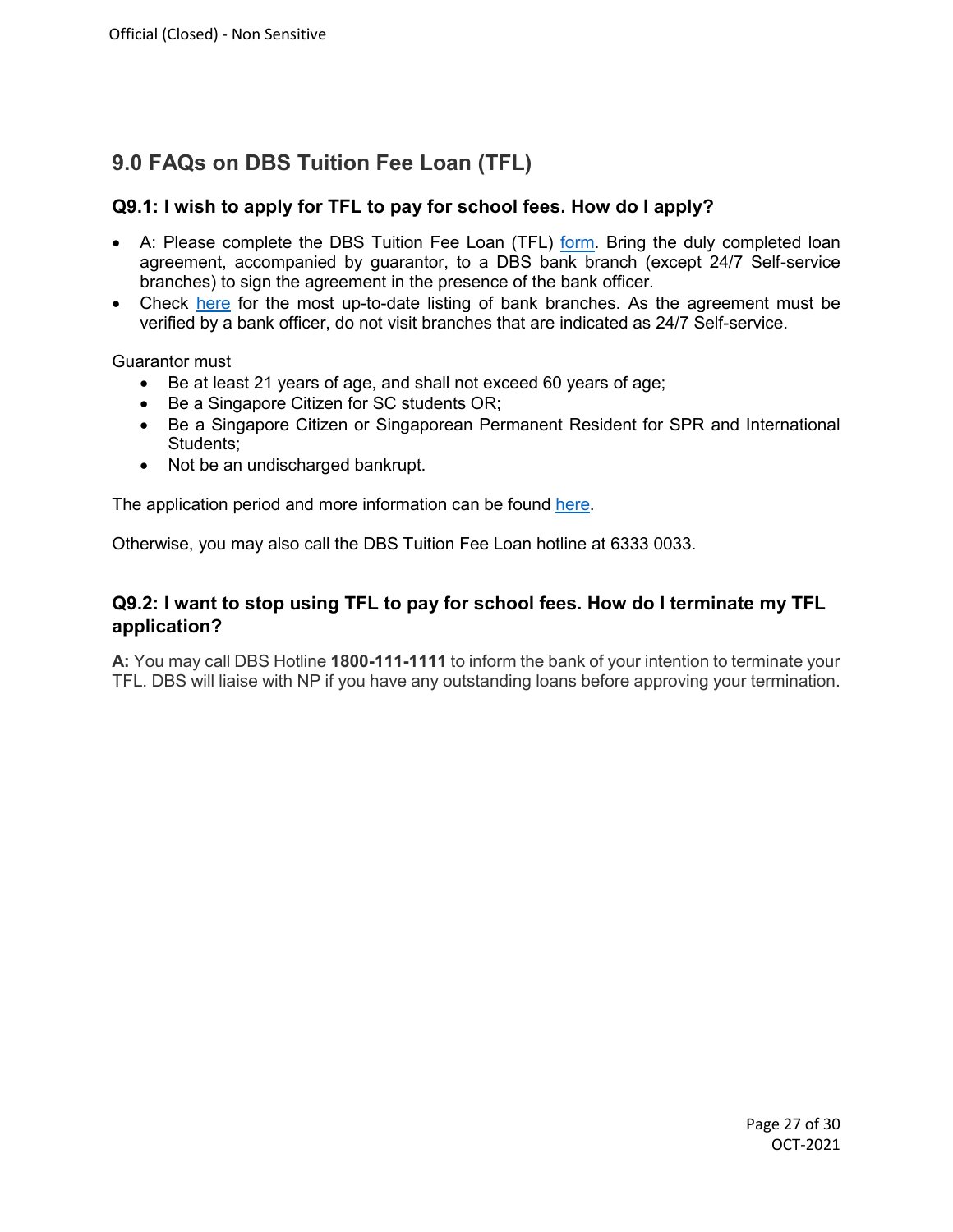# **9.0 FAQs on DBS Tuition Fee Loan (TFL)**

#### <span id="page-26-0"></span>**Q9.1: I wish to apply for TFL to pay for school fees. How do I apply?**

- A: Please complete the DBS Tuition Fee Loan (TFL) [form.](https://www.np.edu.sg/enrol/Documents/FORM_TFL_2015.pdf) Bring the duly completed loan agreement, accompanied by guarantor, to a DBS bank branch (except 24/7 Self-service branches) to sign the agreement in the presence of the bank officer.
- Check [here](https://www.dbs.com.sg/index/locator.page) for the most up-to-date listing of bank branches. As the agreement must be verified by a bank officer, do not visit branches that are indicated as 24/7 Self-service.

Guarantor must

- Be at least 21 years of age, and shall not exceed 60 years of age;
- Be a Singapore Citizen for SC students OR;
- Be a Singapore Citizen or Singaporean Permanent Resident for SPR and International Students;
- Not be an undischarged bankrupt.

The application period and more information can be found [here.](https://www.np.edu.sg/admissions/Pages/aid.aspx)

Otherwise, you may also call the DBS Tuition Fee Loan hotline at 6333 0033.

#### <span id="page-26-1"></span>**Q9.2: I want to stop using TFL to pay for school fees. How do I terminate my TFL application?**

**A:** You may call DBS Hotline **1800-111-1111** to inform the bank of your intention to terminate your TFL. DBS will liaise with NP if you have any outstanding loans before approving your termination.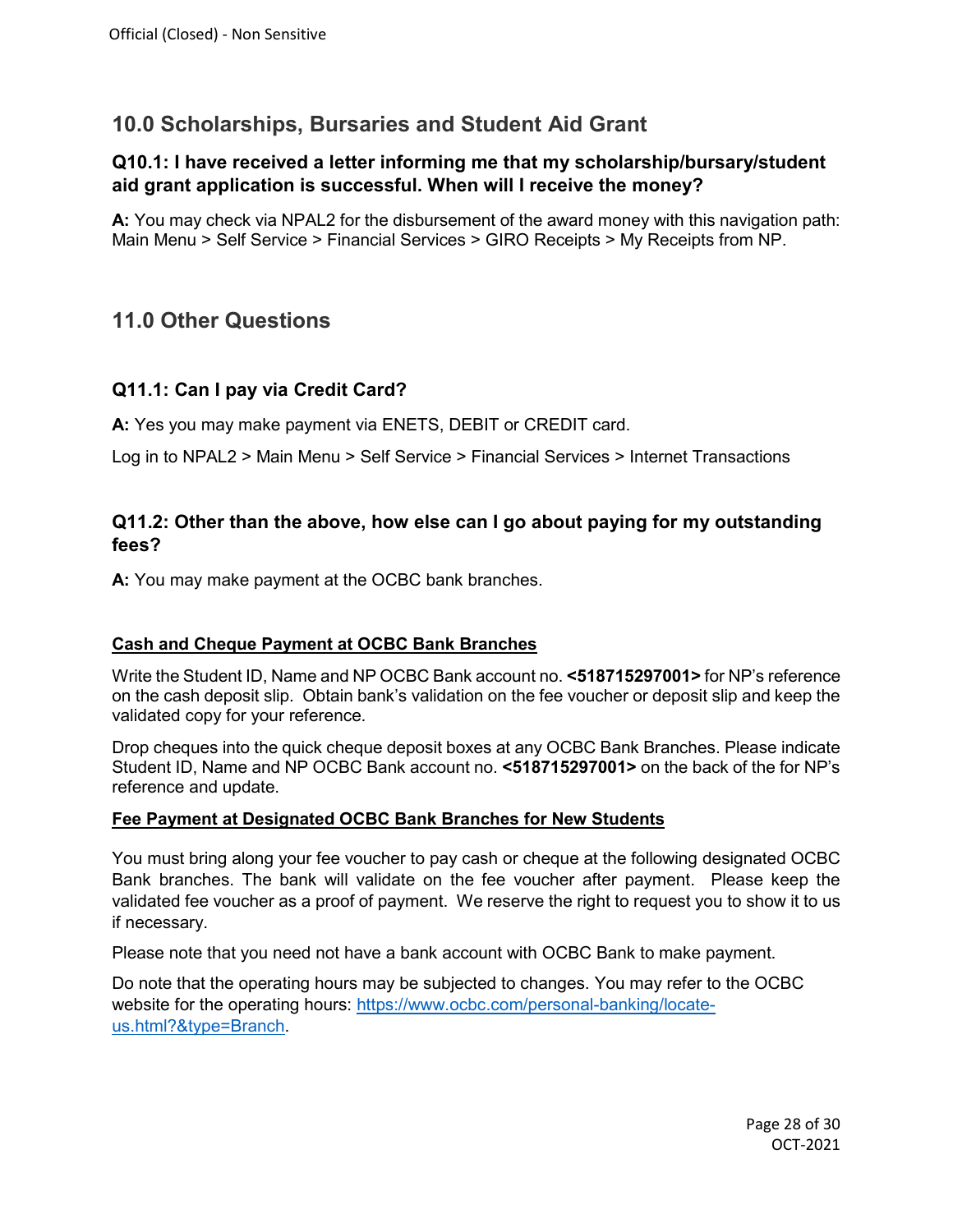## **10.0 Scholarships, Bursaries and Student Aid Grant**

### <span id="page-27-0"></span>**Q10.1: I have received a letter informing me that my scholarship/bursary/student aid grant application is successful. When will I receive the money?**

**A:** You may check via NPAL2 for the disbursement of the award money with this navigation path: Main Menu > Self Service > Financial Services > GIRO Receipts > My Receipts from NP.

## **11.0 Other Questions**

#### <span id="page-27-1"></span>**Q11.1: Can I pay via Credit Card?**

**A:** Yes you may make payment via ENETS, DEBIT or CREDIT card.

Log in to NPAL2 > Main Menu > Self Service > Financial Services > Internet Transactions

#### <span id="page-27-2"></span>**Q11.2: Other than the above, how else can I go about paying for my outstanding fees?**

**A:** You may make payment at the OCBC bank branches.

#### **Cash and Cheque Payment at OCBC Bank Branches**

Write the Student ID, Name and NP OCBC Bank account no. **<518715297001>** for NP's reference on the cash deposit slip. Obtain bank's validation on the fee voucher or deposit slip and keep the validated copy for your reference.

Drop cheques into the quick cheque deposit boxes at any OCBC Bank Branches. Please indicate Student ID, Name and NP OCBC Bank account no. **<518715297001>** on the back of the for NP's reference and update.

#### **Fee Payment at Designated OCBC Bank Branches for New Students**

You must bring along your fee voucher to pay cash or cheque at the following designated OCBC Bank branches. The bank will validate on the fee voucher after payment. Please keep the validated fee voucher as a proof of payment. We reserve the right to request you to show it to us if necessary.

Please note that you need not have a bank account with OCBC Bank to make payment.

Do note that the operating hours may be subjected to changes. You may refer to the OCBC website for the operating hours: [https://www.ocbc.com/personal-banking/locate](https://www.ocbc.com/personal-banking/locate-us.html?&type=Branch)[us.html?&type=Branch.](https://www.ocbc.com/personal-banking/locate-us.html?&type=Branch)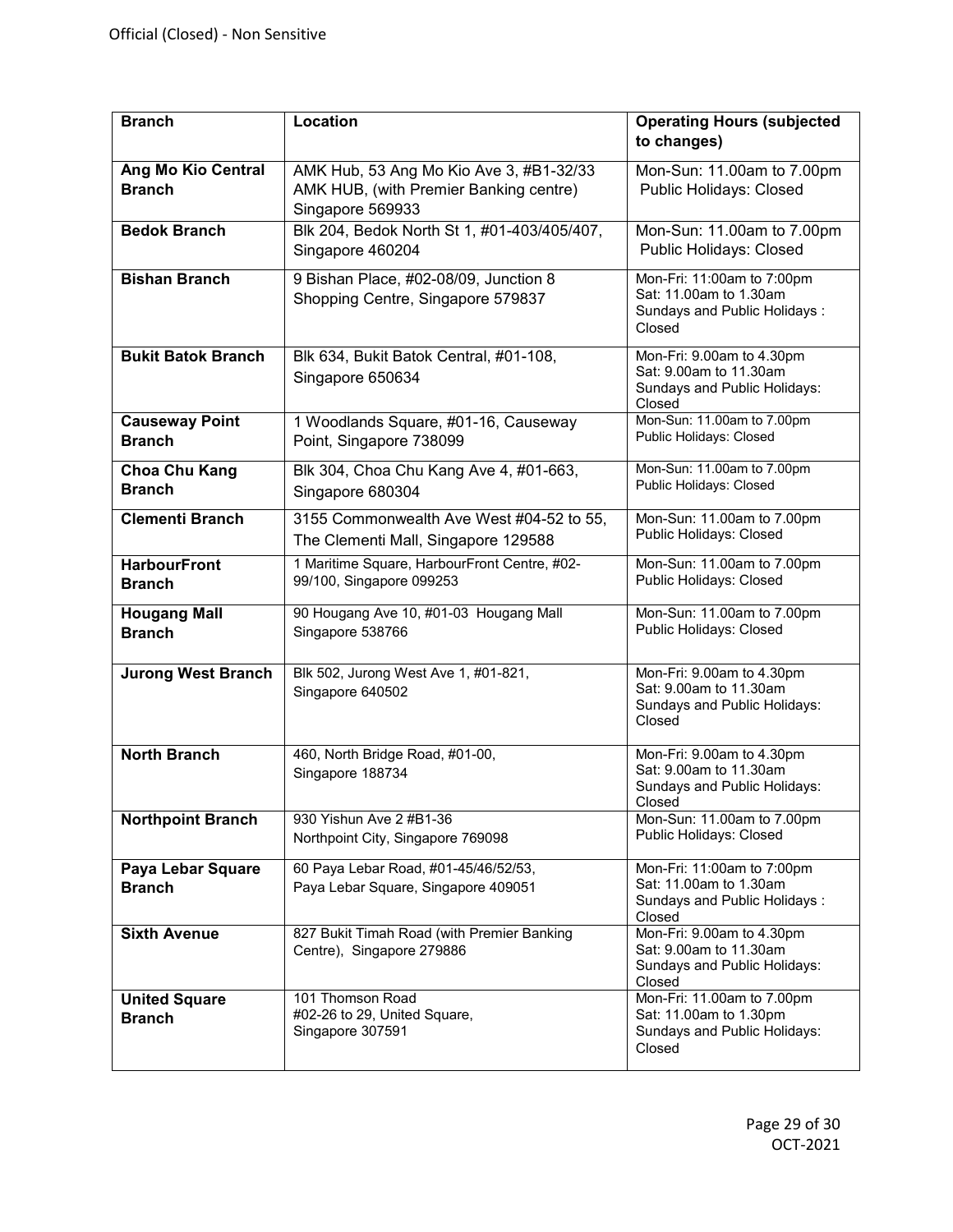| <b>Branch</b>                              | <b>Location</b>                                                                                       | <b>Operating Hours (subjected</b><br>to changes)                                               |
|--------------------------------------------|-------------------------------------------------------------------------------------------------------|------------------------------------------------------------------------------------------------|
| <b>Ang Mo Kio Central</b><br><b>Branch</b> | AMK Hub, 53 Ang Mo Kio Ave 3, #B1-32/33<br>AMK HUB, (with Premier Banking centre)<br>Singapore 569933 | Mon-Sun: 11.00am to 7.00pm<br>Public Holidays: Closed                                          |
| <b>Bedok Branch</b>                        | Blk 204, Bedok North St 1, #01-403/405/407,<br>Singapore 460204                                       | Mon-Sun: 11.00am to 7.00pm<br><b>Public Holidays: Closed</b>                                   |
| <b>Bishan Branch</b>                       | 9 Bishan Place, #02-08/09, Junction 8<br>Shopping Centre, Singapore 579837                            | Mon-Fri: 11:00am to 7:00pm<br>Sat: 11.00am to 1.30am<br>Sundays and Public Holidays:<br>Closed |
| <b>Bukit Batok Branch</b>                  | Blk 634, Bukit Batok Central, #01-108,<br>Singapore 650634                                            | Mon-Fri: 9.00am to 4.30pm<br>Sat: 9.00am to 11.30am<br>Sundays and Public Holidays:<br>Closed  |
| Causeway Point<br><b>Branch</b>            | 1 Woodlands Square, #01-16, Causeway<br>Point, Singapore 738099                                       | Mon-Sun: 11.00am to 7.00pm<br>Public Holidays: Closed                                          |
| Choa Chu Kang<br><b>Branch</b>             | Blk 304, Choa Chu Kang Ave 4, #01-663,<br>Singapore 680304                                            | Mon-Sun: 11.00am to 7.00pm<br>Public Holidays: Closed                                          |
| <b>Clementi Branch</b>                     | 3155 Commonwealth Ave West #04-52 to 55,<br>The Clementi Mall, Singapore 129588                       | Mon-Sun: 11.00am to 7.00pm<br>Public Holidays: Closed                                          |
| <b>HarbourFront</b><br><b>Branch</b>       | 1 Maritime Square, HarbourFront Centre, #02-<br>99/100, Singapore 099253                              | Mon-Sun: 11.00am to 7.00pm<br>Public Holidays: Closed                                          |
| <b>Hougang Mall</b><br><b>Branch</b>       | 90 Hougang Ave 10, #01-03 Hougang Mall<br>Singapore 538766                                            | Mon-Sun: 11.00am to 7.00pm<br>Public Holidays: Closed                                          |
| <b>Jurong West Branch</b>                  | Blk 502, Jurong West Ave 1, #01-821,<br>Singapore 640502                                              | Mon-Fri: 9.00am to 4.30pm<br>Sat: 9.00am to 11.30am<br>Sundays and Public Holidays:<br>Closed  |
| <b>North Branch</b>                        | 460, North Bridge Road, #01-00,<br>Singapore 188734                                                   | Mon-Fri: 9.00am to 4.30pm<br>Sat: 9.00am to 11.30am<br>Sundays and Public Holidays:<br>Closed  |
| <b>Northpoint Branch</b>                   | 930 Yishun Ave 2 #B1-36<br>Northpoint City, Singapore 769098                                          | Mon-Sun: 11.00am to 7.00pm<br>Public Holidays: Closed                                          |
| Paya Lebar Square<br><b>Branch</b>         | 60 Paya Lebar Road, #01-45/46/52/53,<br>Paya Lebar Square, Singapore 409051                           | Mon-Fri: 11:00am to 7:00pm<br>Sat: 11.00am to 1.30am<br>Sundays and Public Holidays:<br>Closed |
| <b>Sixth Avenue</b>                        | 827 Bukit Timah Road (with Premier Banking<br>Centre), Singapore 279886                               | Mon-Fri: 9.00am to 4.30pm<br>Sat: 9.00am to 11.30am<br>Sundays and Public Holidays:<br>Closed  |
| <b>United Square</b><br><b>Branch</b>      | 101 Thomson Road<br>#02-26 to 29, United Square,<br>Singapore 307591                                  | Mon-Fri: 11.00am to 7.00pm<br>Sat: 11.00am to 1.30pm<br>Sundays and Public Holidays:<br>Closed |